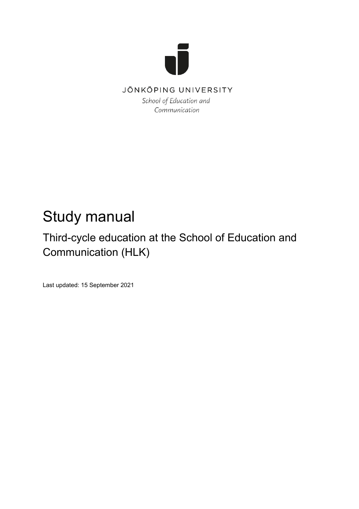

Communication

# Study manual

# Third-cycle education at the School of Education and Communication (HLK)

Last updated: 15 September 2021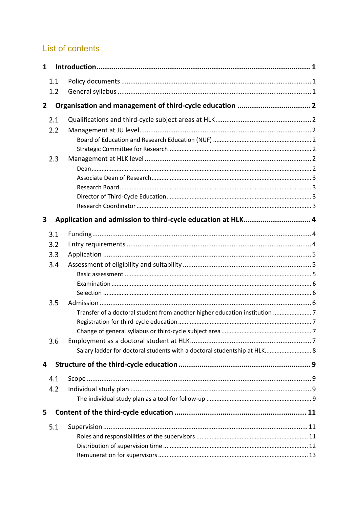## List of contents

| $\mathbf{1}$ |     |                                                                          |  |
|--------------|-----|--------------------------------------------------------------------------|--|
|              | 1.1 |                                                                          |  |
|              | 1.2 |                                                                          |  |
| $\mathbf{2}$ |     | Organisation and management of third-cycle education  2                  |  |
|              | 2.1 |                                                                          |  |
|              | 2.2 |                                                                          |  |
|              |     |                                                                          |  |
|              |     |                                                                          |  |
|              | 2.3 |                                                                          |  |
|              |     |                                                                          |  |
|              |     |                                                                          |  |
|              |     |                                                                          |  |
|              |     |                                                                          |  |
|              |     |                                                                          |  |
| 3            |     | Application and admission to third-cycle education at HLK 4              |  |
|              | 3.1 |                                                                          |  |
|              | 3.2 |                                                                          |  |
|              | 3.3 |                                                                          |  |
|              | 3.4 |                                                                          |  |
|              |     |                                                                          |  |
|              |     |                                                                          |  |
|              |     |                                                                          |  |
|              | 3.5 |                                                                          |  |
|              |     |                                                                          |  |
|              |     |                                                                          |  |
|              | 3.6 |                                                                          |  |
|              |     | Salary ladder for doctoral students with a doctoral studentship at HLK 8 |  |
|              |     |                                                                          |  |
| 4            |     |                                                                          |  |
|              | 4.1 |                                                                          |  |
|              | 4.2 |                                                                          |  |
|              |     |                                                                          |  |
| 5            |     |                                                                          |  |
|              | 5.1 |                                                                          |  |
|              |     |                                                                          |  |
|              |     |                                                                          |  |
|              |     |                                                                          |  |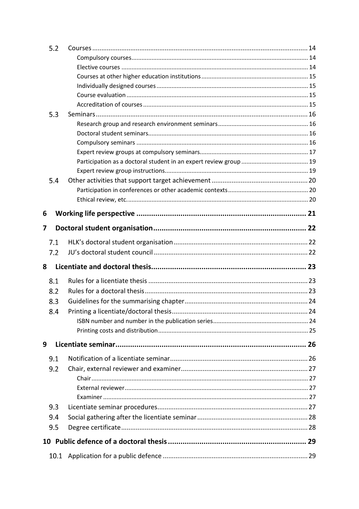| 5.2  |  |
|------|--|
|      |  |
|      |  |
|      |  |
|      |  |
|      |  |
|      |  |
| 5.3  |  |
|      |  |
|      |  |
|      |  |
|      |  |
|      |  |
|      |  |
| 5.4  |  |
|      |  |
|      |  |
| 6    |  |
| 7    |  |
| 7.1  |  |
| 7.2  |  |
|      |  |
| 8    |  |
| 8.1  |  |
| 8.2  |  |
| 8.3  |  |
| 8.4  |  |
|      |  |
|      |  |
| 9    |  |
|      |  |
| 9.1  |  |
| 9.2  |  |
|      |  |
|      |  |
|      |  |
| 9.3  |  |
| 9.4  |  |
| 9.5  |  |
|      |  |
|      |  |
| 10.1 |  |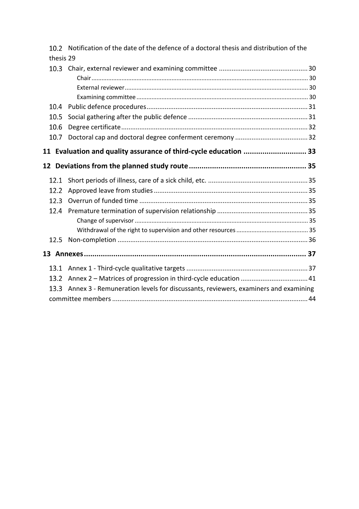|                 | 10.2 Notification of the date of the defence of a doctoral thesis and distribution of the |  |
|-----------------|-------------------------------------------------------------------------------------------|--|
| thesis 29       |                                                                                           |  |
| 10.3            |                                                                                           |  |
|                 |                                                                                           |  |
|                 |                                                                                           |  |
|                 |                                                                                           |  |
| 10.4            |                                                                                           |  |
| 10.5            |                                                                                           |  |
| 10.6            |                                                                                           |  |
| 10.7            |                                                                                           |  |
| 11              | Evaluation and quality assurance of third-cycle education  33                             |  |
| 12 <sup>2</sup> |                                                                                           |  |
| 12.1            |                                                                                           |  |
| 12.2            |                                                                                           |  |
| 12.3            |                                                                                           |  |
| 12.4            |                                                                                           |  |
|                 |                                                                                           |  |
|                 |                                                                                           |  |
| 12.5            |                                                                                           |  |
|                 |                                                                                           |  |
| 13.1            |                                                                                           |  |
| 13.2            |                                                                                           |  |
| 13.3            | Annex 3 - Remuneration levels for discussants, reviewers, examiners and examining         |  |
|                 |                                                                                           |  |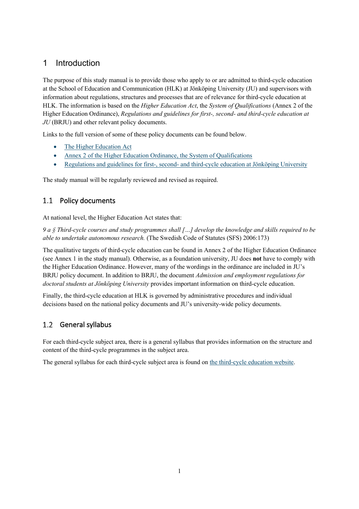### <span id="page-4-0"></span>1 Introduction

The purpose of this study manual is to provide those who apply to or are admitted to third-cycle education at the School of Education and Communication (HLK) at Jönköping University (JU) and supervisors with information about regulations, structures and processes that are of relevance for third-cycle education at HLK. The information is based on the *Higher Education Act*, the *System of Qualifications* (Annex 2 of the Higher Education Ordinance), *Regulations and guidelines for first-, second- and third-cycle education at JU* (BRJU) and other relevant policy documents.

Links to the full version of some of these policy documents can be found below.

- [The Higher Education Act](https://www.uhr.se/en/start/laws-and-regulations/Laws-and-regulations/The-Swedish-Higher-Education-Act/)
- [Annex 2 of the Higher Education Ordinance, the System of Qualifications](https://www.uhr.se/en/start/laws-and-regulations/Laws-and-regulations/The-Higher-Education-Ordinance/)
- [Regulations and guidelines for first-, second- and third-cycle education at Jönköping University](https://ju.se/en/about-us/jonkoping-university/organisation/board-of-education-and-research-education/regulations-and-guidelines-for-education-at-jonkoping-university.html)

<span id="page-4-1"></span>The study manual will be regularly reviewed and revised as required.

### 1.1 Policy documents

At national level, the Higher Education Act states that:

*9 a § Third-cycle courses and study programmes shall […] develop the knowledge and skills required to be able to undertake autonomous research.* (The Swedish Code of Statutes (SFS) 2006:173)

The qualitative targets of third-cycle education can be found in Annex 2 of the Higher Education Ordinance (see Annex 1 in the study manual). Otherwise, as a foundation university, JU does **not** have to comply with the Higher Education Ordinance. However, many of the wordings in the ordinance are included in JU's BRJU policy document. In addition to BRJU, the document *Admission and employment regulations for doctoral students at Jönköping University* provides important information on third-cycle education.

Finally, the third-cycle education at HLK is governed by administrative procedures and individual decisions based on the national policy documents and JU's university-wide policy documents.

#### <span id="page-4-2"></span>General syllabus  $1.2$

For each third-cycle subject area, there is a general syllabus that provides information on the structure and content of the third-cycle programmes in the subject area.

The general syllabus for each third-cycle subject area is found o[n the third-cycle education website.](https://ju.se/en/research/doctoral-programmes/doctoral-programmes-at-the-school-of-education-and-communication.html)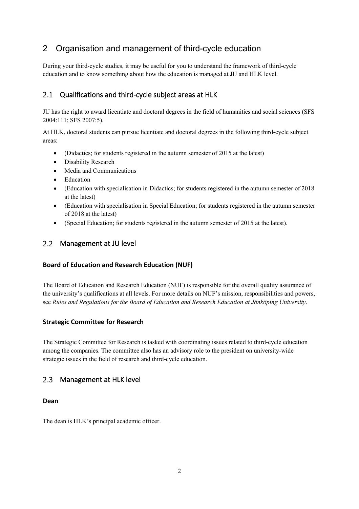## <span id="page-5-0"></span>2 Organisation and management of third-cycle education

During your third-cycle studies, it may be useful for you to understand the framework of third-cycle education and to know something about how the education is managed at JU and HLK level.

#### <span id="page-5-1"></span> $2.1$ Qualifications and third-cycle subject areas at HLK

JU has the right to award licentiate and doctoral degrees in the field of humanities and social sciences (SFS 2004:111; SFS 2007:5).

At HLK, doctoral students can pursue licentiate and doctoral degrees in the following third-cycle subject areas:

- (Didactics; for students registered in the autumn semester of 2015 at the latest)
- Disability Research
- Media and Communications
- Education
- (Education with specialisation in Didactics; for students registered in the autumn semester of 2018 at the latest)
- (Education with specialisation in Special Education; for students registered in the autumn semester of 2018 at the latest)
- (Special Education; for students registered in the autumn semester of 2015 at the latest).

### <span id="page-5-2"></span>2.2 Management at JU level

### <span id="page-5-3"></span>**Board of Education and Research Education (NUF)**

The Board of Education and Research Education (NUF) is responsible for the overall quality assurance of the university's qualifications at all levels. For more details on NUF's mission, responsibilities and powers, see *Rules and Regulations for the Board of Education and Research Education at Jönköping University*.

### <span id="page-5-4"></span>**Strategic Committee for Research**

The Strategic Committee for Research is tasked with coordinating issues related to third-cycle education among the companies. The committee also has an advisory role to the president on university-wide strategic issues in the field of research and third-cycle education.

#### <span id="page-5-5"></span> $2.3$ Management at HLK level

#### <span id="page-5-6"></span>**Dean**

The dean is HLK's principal academic officer.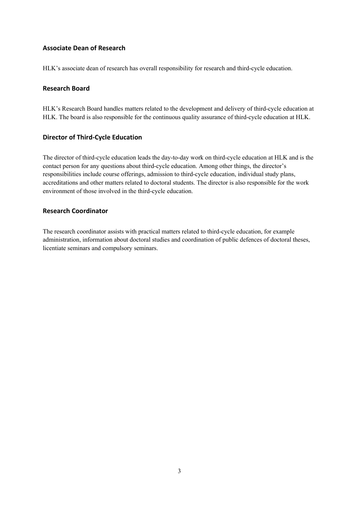### <span id="page-6-0"></span>**Associate Dean of Research**

<span id="page-6-1"></span>HLK's associate dean of research has overall responsibility for research and third-cycle education.

### **Research Board**

HLK's Research Board handles matters related to the development and delivery of third-cycle education at HLK. The board is also responsible for the continuous quality assurance of third-cycle education at HLK.

### <span id="page-6-2"></span>**Director of Third-Cycle Education**

The director of third-cycle education leads the day-to-day work on third-cycle education at HLK and is the contact person for any questions about third-cycle education. Among other things, the director's responsibilities include course offerings, admission to third-cycle education, individual study plans, accreditations and other matters related to doctoral students. The director is also responsible for the work environment of those involved in the third-cycle education.

### <span id="page-6-3"></span>**Research Coordinator**

The research coordinator assists with practical matters related to third-cycle education, for example administration, information about doctoral studies and coordination of public defences of doctoral theses, licentiate seminars and compulsory seminars.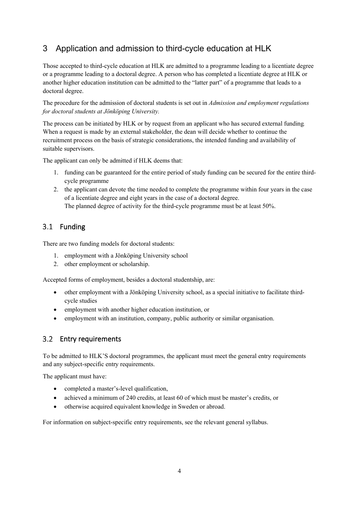## <span id="page-7-0"></span>3 Application and admission to third-cycle education at HLK

Those accepted to third-cycle education at HLK are admitted to a programme leading to a licentiate degree or a programme leading to a doctoral degree. A person who has completed a licentiate degree at HLK or another higher education institution can be admitted to the "latter part" of a programme that leads to a doctoral degree.

The procedure for the admission of doctoral students is set out in *Admission and employment regulations for doctoral students at Jönköping University.*

The process can be initiated by HLK or by request from an applicant who has secured external funding. When a request is made by an external stakeholder, the dean will decide whether to continue the recruitment process on the basis of strategic considerations, the intended funding and availability of suitable supervisors.

The applicant can only be admitted if HLK deems that:

- 1. funding can be guaranteed for the entire period of study funding can be secured for the entire thirdcycle programme
- 2. the applicant can devote the time needed to complete the programme within four years in the case of a licentiate degree and eight years in the case of a doctoral degree. The planned degree of activity for the third-cycle programme must be at least 50%.

### <span id="page-7-1"></span>3.1 Funding

There are two funding models for doctoral students:

- 1. employment with a Jönköping University school
- 2. other employment or scholarship.

Accepted forms of employment, besides a doctoral studentship, are:

- other employment with a Jönköping University school, as a special initiative to facilitate thirdcycle studies
- employment with another higher education institution, or
- employment with an institution, company, public authority or similar organisation.

### <span id="page-7-2"></span>3.2 Entry requirements

To be admitted to HLK'S doctoral programmes, the applicant must meet the general entry requirements and any subject-specific entry requirements.

The applicant must have:

- completed a master's-level qualification,
- achieved a minimum of 240 credits, at least 60 of which must be master's credits, or
- otherwise acquired equivalent knowledge in Sweden or abroad.

For information on subject-specific entry requirements, see the relevant general syllabus.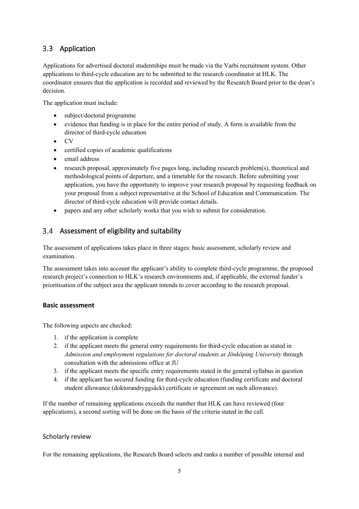### <span id="page-8-0"></span>3.3 Application

Applications for advertised doctoral studentships must be made via the Varbi recruitment system. Other applications to third-cycle education are to be submitted to the research coordinator at HLK. The coordinator ensures that the application is recorded and reviewed by the Research Board prior to the dean's decision.

The application must include:

- subject/doctoral programme
- evidence that funding is in place for the entire period of study. A form is available from the director of third-cycle education
- CV
- certified copies of academic qualifications
- email address
- research proposal, approximately five pages long, including research problem(s), theoretical and methodological points of departure, and a timetable for the research. Before submitting your application, you have the opportunity to improve your research proposal by requesting feedback on your proposal from a subject representative at the School of Education and Communication. The director of third-cycle education will provide contact details.
- papers and any other scholarly works that you wish to submit for consideration.

### <span id="page-8-1"></span>Assessment of eligibility and suitability

The assessment of applications takes place in three stages: basic assessment, scholarly review and examination.

The assessment takes into account the applicant's ability to complete third-cycle programme, the proposed research project's connection to HLK's research environments and, if applicable, the external funder's prioritisation of the subject area the applicant intends to cover according to the research proposal.

#### <span id="page-8-2"></span>**Basic assessment**

The following aspects are checked:

- 1. if the application is complete
- 2. if the applicant meets the general entry requirements for third-cycle education as stated in *Admission and employment regulations for doctoral students at Jönköping University* through consultation with the admissions office at JU
- 3. if the applicant meets the specific entry requirements stated in the general syllabus in question
- 4. if the applicant has secured funding for third-cycle education (funding certificate and doctoral student allowance (doktorandryggsäck) certificate or agreement on such allowance).

If the number of remaining applications exceeds the number that HLK can have reviewed (four applications), a second sorting will be done on the basis of the criteria stated in the call.

#### Scholarly review

For the remaining applications, the Research Board selects and ranks a number of possible internal and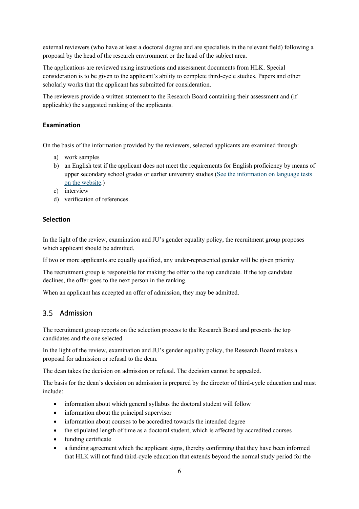external reviewers (who have at least a doctoral degree and are specialists in the relevant field) following a proposal by the head of the research environment or the head of the subject area.

The applications are reviewed using instructions and assessment documents from HLK. Special consideration is to be given to the applicant's ability to complete third-cycle studies. Papers and other scholarly works that the applicant has submitted for consideration.

The reviewers provide a written statement to the Research Board containing their assessment and (if applicable) the suggested ranking of the applicants.

### <span id="page-9-0"></span>**Examination**

On the basis of the information provided by the reviewers, selected applicants are examined through:

- a) work samples
- b) an English test if the applicant does not meet the requirements for English proficiency by means of upper secondary school grades or earlier university studies (See the information on language tests [on the website.](https://ju.se/en/study-at-ju/admissions/language-requirements.html))
- c) interview
- d) verification of references.

### <span id="page-9-1"></span>**Selection**

In the light of the review, examination and JU's gender equality policy, the recruitment group proposes which applicant should be admitted.

If two or more applicants are equally qualified, any under-represented gender will be given priority.

The recruitment group is responsible for making the offer to the top candidate. If the top candidate declines, the offer goes to the next person in the ranking.

<span id="page-9-2"></span>When an applicant has accepted an offer of admission, they may be admitted.

#### $3.5$ Admission

The recruitment group reports on the selection process to the Research Board and presents the top candidates and the one selected.

In the light of the review, examination and JU's gender equality policy, the Research Board makes a proposal for admission or refusal to the dean.

The dean takes the decision on admission or refusal. The decision cannot be appealed.

The basis for the dean's decision on admission is prepared by the director of third-cycle education and must include:

- information about which general syllabus the doctoral student will follow
- information about the principal supervisor
- information about courses to be accredited towards the intended degree
- the stipulated length of time as a doctoral student, which is affected by accredited courses
- funding certificate
- a funding agreement which the applicant signs, thereby confirming that they have been informed that HLK will not fund third-cycle education that extends beyond the normal study period for the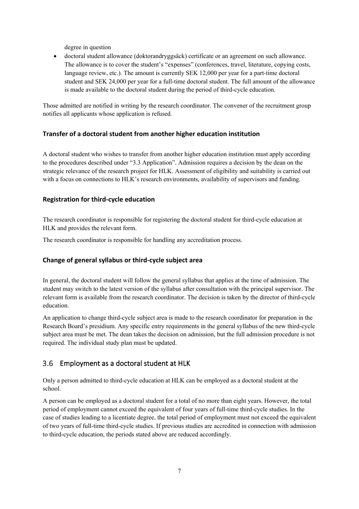degree in question

• doctoral student allowance (doktorandryggsäck) certificate or an agreement on such allowance. The allowance is to cover the student's "expenses" (conferences, travel, literature, copying costs, language review, etc.). The amount is currently SEK 12,000 per year for a part-time doctoral student and SEK 24,000 per year for a full-time doctoral student. The full amount of the allowance is made available to the doctoral student during the period of third-cycle education.

Those admitted are notified in writing by the research coordinator. The convener of the recruitment group notifies all applicants whose application is refused.

### <span id="page-10-0"></span>**Transfer of a doctoral student from another higher education institution**

A doctoral student who wishes to transfer from another higher education institution must apply according to the procedures described under "3.3 Application". Admission requires a decision by the dean on the strategic relevance of the research project for HLK. Assessment of eligibility and suitability is carried out with a focus on connections to HLK's research environments, availability of supervisors and funding.

### <span id="page-10-1"></span>**Registration for third-cycle education**

The research coordinator is responsible for registering the doctoral student for third-cycle education at HLK and provides the relevant form.

<span id="page-10-2"></span>The research coordinator is responsible for handling any accreditation process.

### **Change of general syllabus or third-cycle subject area**

In general, the doctoral student will follow the general syllabus that applies at the time of admission. The student may switch to the latest version of the syllabus after consultation with the principal supervisor. The relevant form is available from the research coordinator. The decision is taken by the director of third-cycle education.

An application to change third-cycle subject area is made to the research coordinator for preparation in the Research Board's presidium. Any specific entry requirements in the general syllabus of the new third-cycle subject area must be met. The dean takes the decision on admission, but the full admission procedure is not required. The individual study plan must be updated.

#### <span id="page-10-3"></span> $3.6$ Employment as a doctoral student at HLK

Only a person admitted to third-cycle education at HLK can be employed as a doctoral student at the school.

A person can be employed as a doctoral student for a total of no more than eight years. However, the total period of employment cannot exceed the equivalent of four years of full-time third-cycle studies. In the case of studies leading to a licentiate degree, the total period of employment must not exceed the equivalent of two years of full-time third-cycle studies. If previous studies are accredited in connection with admission to third-cycle education, the periods stated above are reduced accordingly.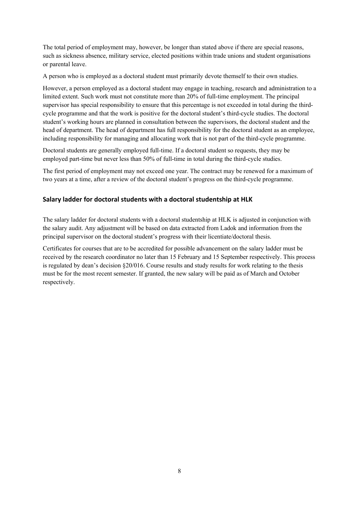The total period of employment may, however, be longer than stated above if there are special reasons, such as sickness absence, military service, elected positions within trade unions and student organisations or parental leave.

A person who is employed as a doctoral student must primarily devote themself to their own studies.

However, a person employed as a doctoral student may engage in teaching, research and administration to a limited extent. Such work must not constitute more than 20% of full-time employment. The principal supervisor has special responsibility to ensure that this percentage is not exceeded in total during the thirdcycle programme and that the work is positive for the doctoral student's third-cycle studies. The doctoral student's working hours are planned in consultation between the supervisors, the doctoral student and the head of department. The head of department has full responsibility for the doctoral student as an employee, including responsibility for managing and allocating work that is not part of the third-cycle programme.

Doctoral students are generally employed full-time. If a doctoral student so requests, they may be employed part-time but never less than 50% of full-time in total during the third-cycle studies.

The first period of employment may not exceed one year. The contract may be renewed for a maximum of two years at a time, after a review of the doctoral student's progress on the third-cycle programme.

### <span id="page-11-0"></span>**Salary ladder for doctoral students with a doctoral studentship at HLK**

The salary ladder for doctoral students with a doctoral studentship at HLK is adjusted in conjunction with the salary audit. Any adjustment will be based on data extracted from Ladok and information from the principal supervisor on the doctoral student's progress with their licentiate/doctoral thesis.

Certificates for courses that are to be accredited for possible advancement on the salary ladder must be received by the research coordinator no later than 15 February and 15 September respectively. This process is regulated by dean's decision §20/016. Course results and study results for work relating to the thesis must be for the most recent semester. If granted, the new salary will be paid as of March and October respectively.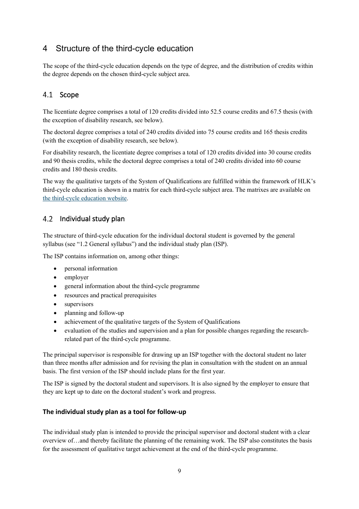## <span id="page-12-0"></span>4 Structure of the third-cycle education

The scope of the third-cycle education depends on the type of degree, and the distribution of credits within the degree depends on the chosen third-cycle subject area.

### <span id="page-12-1"></span>4.1 Scope

The licentiate degree comprises a total of 120 credits divided into 52.5 course credits and 67.5 thesis (with the exception of disability research, see below).

The doctoral degree comprises a total of 240 credits divided into 75 course credits and 165 thesis credits (with the exception of disability research, see below).

For disability research, the licentiate degree comprises a total of 120 credits divided into 30 course credits and 90 thesis credits, while the doctoral degree comprises a total of 240 credits divided into 60 course credits and 180 thesis credits.

The way the qualitative targets of the System of Qualifications are fulfilled within the framework of HLK's third-cycle education is shown in a matrix for each third-cycle subject area. The matrixes are available on [the third-cycle education website.](https://ju.se/en/research/doctoral-programmes/doctoral-programmes-at-the-school-of-education-and-communication.html)

### <span id="page-12-2"></span>4.2 Individual study plan

The structure of third-cycle education for the individual doctoral student is governed by the general syllabus (see "1.2 General syllabus") and the individual study plan (ISP).

The ISP contains information on, among other things:

- personal information
- employer
- general information about the third-cycle programme
- resources and practical prerequisites
- supervisors
- planning and follow-up
- achievement of the qualitative targets of the System of Qualifications
- evaluation of the studies and supervision and a plan for possible changes regarding the researchrelated part of the third-cycle programme.

The principal supervisor is responsible for drawing up an ISP together with the doctoral student no later than three months after admission and for revising the plan in consultation with the student on an annual basis. The first version of the ISP should include plans for the first year.

The ISP is signed by the doctoral student and supervisors. It is also signed by the employer to ensure that they are kept up to date on the doctoral student's work and progress.

### <span id="page-12-3"></span>**The individual study plan as a tool for follow-up**

The individual study plan is intended to provide the principal supervisor and doctoral student with a clear overview of…and thereby facilitate the planning of the remaining work. The ISP also constitutes the basis for the assessment of qualitative target achievement at the end of the third-cycle programme.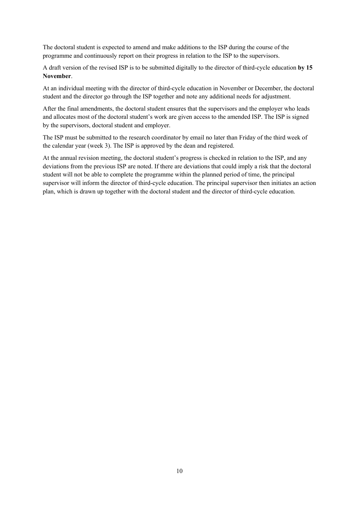The doctoral student is expected to amend and make additions to the ISP during the course of the programme and continuously report on their progress in relation to the ISP to the supervisors.

A draft version of the revised ISP is to be submitted digitally to the director of third-cycle education **by 15 November**.

At an individual meeting with the director of third-cycle education in November or December, the doctoral student and the director go through the ISP together and note any additional needs for adjustment.

After the final amendments, the doctoral student ensures that the supervisors and the employer who leads and allocates most of the doctoral student's work are given access to the amended ISP. The ISP is signed by the supervisors, doctoral student and employer.

The ISP must be submitted to the research coordinator by email no later than Friday of the third week of the calendar year (week 3). The ISP is approved by the dean and registered.

At the annual revision meeting, the doctoral student's progress is checked in relation to the ISP, and any deviations from the previous ISP are noted. If there are deviations that could imply a risk that the doctoral student will not be able to complete the programme within the planned period of time, the principal supervisor will inform the director of third-cycle education. The principal supervisor then initiates an action plan, which is drawn up together with the doctoral student and the director of third-cycle education.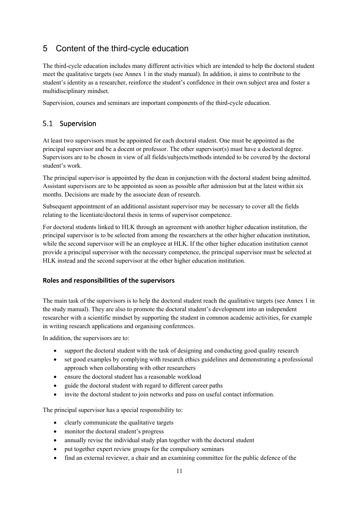## <span id="page-14-0"></span>5 Content of the third-cycle education

The third-cycle education includes many different activities which are intended to help the doctoral student meet the qualitative targets (see Annex 1 in the study manual). In addition, it aims to contribute to the student's identity as a researcher, reinforce the student's confidence in their own subject area and foster a multidisciplinary mindset.

<span id="page-14-1"></span>Supervision, courses and seminars are important components of the third-cycle education.

#### $5.1$ Supervision

At least two supervisors must be appointed for each doctoral student. One must be appointed as the principal supervisor and be a docent or professor. The other supervisor(s) must have a doctoral degree. Supervisors are to be chosen in view of all fields/subjects/methods intended to be covered by the doctoral student's work.

The principal supervisor is appointed by the dean in conjunction with the doctoral student being admitted. Assistant supervisors are to be appointed as soon as possible after admission but at the latest within six months. Decisions are made by the associate dean of research.

Subsequent appointment of an additional assistant supervisor may be necessary to cover all the fields relating to the licentiate/doctoral thesis in terms of supervisor competence.

For doctoral students linked to HLK through an agreement with another higher education institution, the principal supervisor is to be selected from among the researchers at the other higher education institution, while the second supervisor will be an employee at HLK. If the other higher education institution cannot provide a principal supervisor with the necessary competence, the principal supervisor must be selected at HLK instead and the second supervisor at the other higher education institution.

### <span id="page-14-2"></span>**Roles and responsibilities of the supervisors**

The main task of the supervisors is to help the doctoral student reach the qualitative targets (see Annex 1 in the study manual). They are also to promote the doctoral student's development into an independent researcher with a scientific mindset by supporting the student in common academic activities, for example in writing research applications and organising conferences.

In addition, the supervisors are to:

- support the doctoral student with the task of designing and conducting good quality research
- set good examples by complying with research ethics guidelines and demonstrating a professional approach when collaborating with other researchers
- ensure the doctoral student has a reasonable workload
- guide the doctoral student with regard to different career paths
- invite the doctoral student to join networks and pass on useful contact information.

The principal supervisor has a special responsibility to:

- clearly communicate the qualitative targets
- monitor the doctoral student's progress
- annually revise the individual study plan together with the doctoral student
- put together expert review groups for the compulsory seminars
- find an external reviewer, a chair and an examining committee for the public defence of the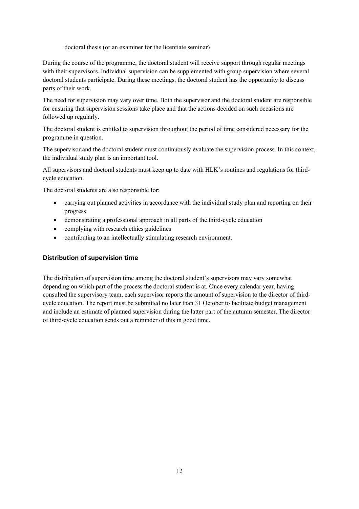doctoral thesis (or an examiner for the licentiate seminar)

During the course of the programme, the doctoral student will receive support through regular meetings with their supervisors. Individual supervision can be supplemented with group supervision where several doctoral students participate. During these meetings, the doctoral student has the opportunity to discuss parts of their work.

The need for supervision may vary over time. Both the supervisor and the doctoral student are responsible for ensuring that supervision sessions take place and that the actions decided on such occasions are followed up regularly.

The doctoral student is entitled to supervision throughout the period of time considered necessary for the programme in question.

The supervisor and the doctoral student must continuously evaluate the supervision process. In this context, the individual study plan is an important tool.

All supervisors and doctoral students must keep up to date with HLK's routines and regulations for thirdcycle education.

The doctoral students are also responsible for:

- carrying out planned activities in accordance with the individual study plan and reporting on their progress
- demonstrating a professional approach in all parts of the third-cycle education
- complying with research ethics guidelines
- contributing to an intellectually stimulating research environment.

#### <span id="page-15-0"></span>**Distribution of supervision time**

The distribution of supervision time among the doctoral student's supervisors may vary somewhat depending on which part of the process the doctoral student is at. Once every calendar year, having consulted the supervisory team, each supervisor reports the amount of supervision to the director of thirdcycle education. The report must be submitted no later than 31 October to facilitate budget management and include an estimate of planned supervision during the latter part of the autumn semester. The director of third-cycle education sends out a reminder of this in good time.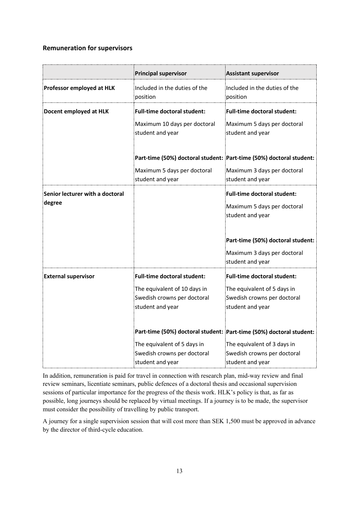### <span id="page-16-0"></span>**Remuneration for supervisors**

|                                           | <b>Principal supervisor</b>                                                     | <b>Assistant supervisor</b>                                                           |
|-------------------------------------------|---------------------------------------------------------------------------------|---------------------------------------------------------------------------------------|
| Professor employed at HLK                 | Included in the duties of the<br>position                                       | Included in the duties of the<br>position                                             |
| Docent employed at HLK                    | <b>Full-time doctoral student:</b>                                              | <b>Full-time doctoral student:</b>                                                    |
|                                           | Maximum 10 days per doctoral<br>student and year                                | Maximum 5 days per doctoral<br>student and year                                       |
|                                           | Part-time (50%) doctoral student: Part-time (50%) doctoral student:             |                                                                                       |
|                                           | Maximum 5 days per doctoral<br>student and year                                 | Maximum 3 days per doctoral<br>student and year                                       |
| Senior lecturer with a doctoral<br>degree |                                                                                 | <b>Full-time doctoral student:</b><br>Maximum 5 days per doctoral<br>student and year |
|                                           |                                                                                 | Part-time (50%) doctoral student:                                                     |
|                                           |                                                                                 | Maximum 3 days per doctoral<br>student and year                                       |
| <b>External supervisor</b>                | Full-time doctoral student:                                                     | <b>Full-time doctoral student:</b>                                                    |
|                                           | The equivalent of 10 days in<br>Swedish crowns per doctoral<br>student and year | The equivalent of 5 days in<br>Swedish crowns per doctoral<br>student and year        |
|                                           | Part-time (50%) doctoral student: Part-time (50%) doctoral student:             |                                                                                       |
|                                           | The equivalent of 5 days in<br>Swedish crowns per doctoral<br>student and year  | The equivalent of 3 days in<br>Swedish crowns per doctoral<br>student and year        |

In addition, remuneration is paid for travel in connection with research plan, mid-way review and final review seminars, licentiate seminars, public defences of a doctoral thesis and occasional supervision sessions of particular importance for the progress of the thesis work. HLK's policy is that, as far as possible, long journeys should be replaced by virtual meetings. If a journey is to be made, the supervisor must consider the possibility of travelling by public transport.

A journey for a single supervision session that will cost more than SEK 1,500 must be approved in advance by the director of third-cycle education.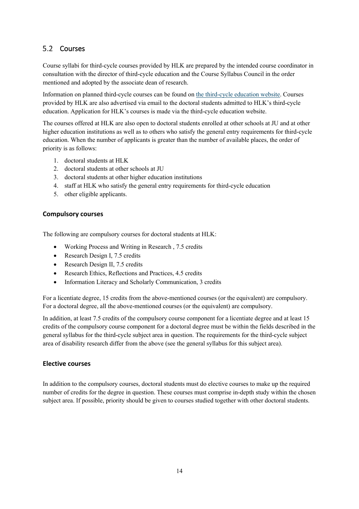### <span id="page-17-0"></span>5.2 Courses

Course syllabi for third-cycle courses provided by HLK are prepared by the intended course coordinator in consultation with the director of third-cycle education and the Course Syllabus Council in the order mentioned and adopted by the associate dean of research.

Information on planned third-cycle courses can be found on [the third-cycle education website.](https://ju.se/en/research/doctoral-programmes/doctoral-programmes-at-the-school-of-education-and-communication/doctoral-courses.html) Courses provided by HLK are also advertised via email to the doctoral students admitted to HLK's third-cycle education. Application for HLK's courses is made via the third-cycle education website.

The courses offered at HLK are also open to doctoral students enrolled at other schools at JU and at other higher education institutions as well as to others who satisfy the general entry requirements for third-cycle education. When the number of applicants is greater than the number of available places, the order of priority is as follows:

- 1. doctoral students at HLK
- 2. doctoral students at other schools at JU
- 3. doctoral students at other higher education institutions
- 4. staff at HLK who satisfy the general entry requirements for third-cycle education
- 5. other eligible applicants.

### <span id="page-17-1"></span>**Compulsory courses**

The following are compulsory courses for doctoral students at HLK:

- Working Process and Writing in Research , 7.5 credits
- Research Design I, 7.5 credits
- Research Design II, 7.5 credits
- Research Ethics, Reflections and Practices, 4.5 credits
- Information Literacy and Scholarly Communication, 3 credits

For a licentiate degree, 15 credits from the above-mentioned courses (or the equivalent) are compulsory. For a doctoral degree, all the above-mentioned courses (or the equivalent) are compulsory.

In addition, at least 7.5 credits of the compulsory course component for a licentiate degree and at least 15 credits of the compulsory course component for a doctoral degree must be within the fields described in the general syllabus for the third-cycle subject area in question. The requirements for the third-cycle subject area of disability research differ from the above (see the general syllabus for this subject area).

#### <span id="page-17-2"></span>**Elective courses**

In addition to the compulsory courses, doctoral students must do elective courses to make up the required number of credits for the degree in question. These courses must comprise in-depth study within the chosen subject area. If possible, priority should be given to courses studied together with other doctoral students.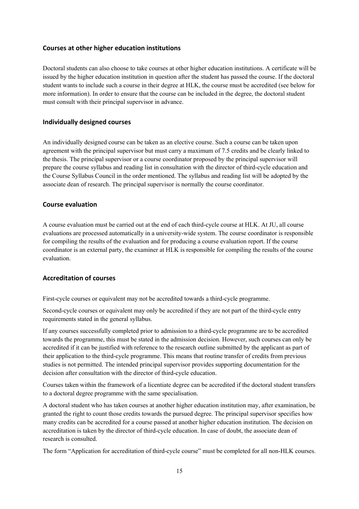#### <span id="page-18-0"></span>**Courses at other higher education institutions**

Doctoral students can also choose to take courses at other higher education institutions. A certificate will be issued by the higher education institution in question after the student has passed the course. If the doctoral student wants to include such a course in their degree at HLK, the course must be accredited (see below for more information). In order to ensure that the course can be included in the degree, the doctoral student must consult with their principal supervisor in advance.

#### <span id="page-18-1"></span>**Individually designed courses**

An individually designed course can be taken as an elective course. Such a course can be taken upon agreement with the principal supervisor but must carry a maximum of 7.5 credits and be clearly linked to the thesis. The principal supervisor or a course coordinator proposed by the principal supervisor will prepare the course syllabus and reading list in consultation with the director of third-cycle education and the Course Syllabus Council in the order mentioned. The syllabus and reading list will be adopted by the associate dean of research. The principal supervisor is normally the course coordinator.

#### <span id="page-18-2"></span>**Course evaluation**

A course evaluation must be carried out at the end of each third-cycle course at HLK. At JU, all course evaluations are processed automatically in a university-wide system. The course coordinator is responsible for compiling the results of the evaluation and for producing a course evaluation report. If the course coordinator is an external party, the examiner at HLK is responsible for compiling the results of the course evaluation.

#### <span id="page-18-3"></span>**Accreditation of courses**

First-cycle courses or equivalent may not be accredited towards a third-cycle programme.

Second-cycle courses or equivalent may only be accredited if they are not part of the third-cycle entry requirements stated in the general syllabus.

If any courses successfully completed prior to admission to a third-cycle programme are to be accredited towards the programme, this must be stated in the admission decision. However, such courses can only be accredited if it can be justified with reference to the research outline submitted by the applicant as part of their application to the third-cycle programme. This means that routine transfer of credits from previous studies is not permitted. The intended principal supervisor provides supporting documentation for the decision after consultation with the director of third-cycle education.

Courses taken within the framework of a licentiate degree can be accredited if the doctoral student transfers to a doctoral degree programme with the same specialisation.

A doctoral student who has taken courses at another higher education institution may, after examination, be granted the right to count those credits towards the pursued degree. The principal supervisor specifies how many credits can be accredited for a course passed at another higher education institution. The decision on accreditation is taken by the director of third-cycle education. In case of doubt, the associate dean of research is consulted.

The form "Application for accreditation of third-cycle course" must be completed for all non-HLK courses.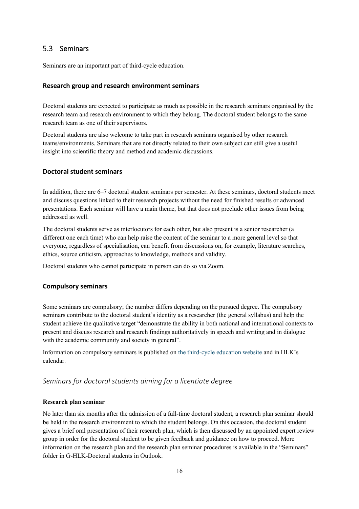### <span id="page-19-0"></span>5.3 Seminars

<span id="page-19-1"></span>Seminars are an important part of third-cycle education.

#### **Research group and research environment seminars**

Doctoral students are expected to participate as much as possible in the research seminars organised by the research team and research environment to which they belong. The doctoral student belongs to the same research team as one of their supervisors.

Doctoral students are also welcome to take part in research seminars organised by other research teams/environments. Seminars that are not directly related to their own subject can still give a useful insight into scientific theory and method and academic discussions.

#### <span id="page-19-2"></span>**Doctoral student seminars**

In addition, there are 6–7 doctoral student seminars per semester. At these seminars, doctoral students meet and discuss questions linked to their research projects without the need for finished results or advanced presentations. Each seminar will have a main theme, but that does not preclude other issues from being addressed as well.

The doctoral students serve as interlocutors for each other, but also present is a senior researcher (a different one each time) who can help raise the content of the seminar to a more general level so that everyone, regardless of specialisation, can benefit from discussions on, for example, literature searches, ethics, source criticism, approaches to knowledge, methods and validity.

<span id="page-19-3"></span>Doctoral students who cannot participate in person can do so via Zoom.

#### **Compulsory seminars**

Some seminars are compulsory; the number differs depending on the pursued degree. The compulsory seminars contribute to the doctoral student's identity as a researcher (the general syllabus) and help the student achieve the qualitative target "demonstrate the ability in both national and international contexts to present and discuss research and research findings authoritatively in speech and writing and in dialogue with the academic community and society in general".

Information on compulsory seminars is published on [the third-cycle education website](https://ju.se/en/research/doctoral-programmes/doctoral-programmes-at-the-school-of-education-and-communication/research-seminars.html) and in HLK's calendar.

### *Seminars for doctoral students aiming for a licentiate degree*

#### **Research plan seminar**

No later than six months after the admission of a full-time doctoral student, a research plan seminar should be held in the research environment to which the student belongs. On this occasion, the doctoral student gives a brief oral presentation of their research plan, which is then discussed by an appointed expert review group in order for the doctoral student to be given feedback and guidance on how to proceed. More information on the research plan and the research plan seminar procedures is available in the "Seminars" folder in G-HLK-Doctoral students in Outlook.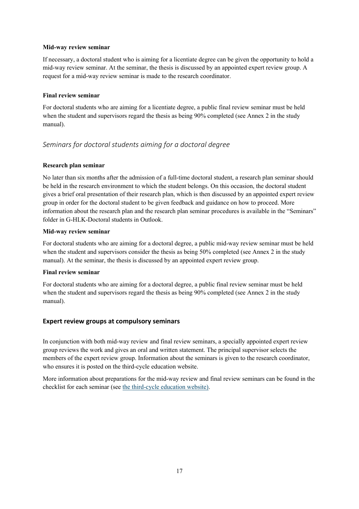#### **Mid-way review seminar**

If necessary, a doctoral student who is aiming for a licentiate degree can be given the opportunity to hold a mid-way review seminar. At the seminar, the thesis is discussed by an appointed expert review group. A request for a mid-way review seminar is made to the research coordinator.

#### **Final review seminar**

For doctoral students who are aiming for a licentiate degree, a public final review seminar must be held when the student and supervisors regard the thesis as being 90% completed (see Annex 2 in the study manual).

### *Seminars for doctoral students aiming for a doctoral degree*

#### **Research plan seminar**

No later than six months after the admission of a full-time doctoral student, a research plan seminar should be held in the research environment to which the student belongs. On this occasion, the doctoral student gives a brief oral presentation of their research plan, which is then discussed by an appointed expert review group in order for the doctoral student to be given feedback and guidance on how to proceed. More information about the research plan and the research plan seminar procedures is available in the "Seminars" folder in G-HLK-Doctoral students in Outlook.

#### **Mid-way review seminar**

For doctoral students who are aiming for a doctoral degree, a public mid-way review seminar must be held when the student and supervisors consider the thesis as being 50% completed (see Annex 2 in the study manual). At the seminar, the thesis is discussed by an appointed expert review group.

#### **Final review seminar**

For doctoral students who are aiming for a doctoral degree, a public final review seminar must be held when the student and supervisors regard the thesis as being 90% completed (see Annex 2 in the study manual).

#### <span id="page-20-0"></span>**Expert review groups at compulsory seminars**

In conjunction with both mid-way review and final review seminars, a specially appointed expert review group reviews the work and gives an oral and written statement. The principal supervisor selects the members of the expert review group. Information about the seminars is given to the research coordinator, who ensures it is posted on the third-cycle education website.

More information about preparations for the mid-way review and final review seminars can be found in the checklist for each seminar (see [the third-cycle education website\)](https://ju.se/en/research/doctoral-programmes/doctoral-programmes-at-the-school-of-education-and-communication/policy-documents-and-forms.html).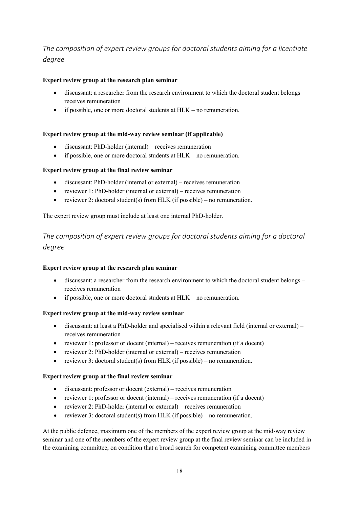## *The composition of expert review groups for doctoral students aiming for a licentiate degree*

### **Expert review group at the research plan seminar**

- discussant: a researcher from the research environment to which the doctoral student belongs receives remuneration
- if possible, one or more doctoral students at HLK no remuneration.

#### **Expert review group at the mid-way review seminar (if applicable)**

- discussant: PhD-holder (internal) receives remuneration
- if possible, one or more doctoral students at HLK no remuneration.

### **Expert review group at the final review seminar**

- discussant: PhD-holder (internal or external) receives remuneration
- reviewer 1: PhD-holder (internal or external) receives remuneration
- reviewer 2: doctoral student(s) from HLK (if possible) no remuneration.

The expert review group must include at least one internal PhD-holder.

*The composition of expert review groups for doctoral students aiming for a doctoral degree*

#### **Expert review group at the research plan seminar**

- discussant: a researcher from the research environment to which the doctoral student belongs receives remuneration
- if possible, one or more doctoral students at  $HLK$  no remuneration.

#### **Expert review group at the mid-way review seminar**

- discussant: at least a PhD-holder and specialised within a relevant field (internal or external) receives remuneration
- reviewer 1: professor or docent (internal) receives remuneration (if a docent)
- reviewer 2: PhD-holder (internal or external) receives remuneration
- reviewer 3: doctoral student(s) from HLK (if possible) no remuneration.

#### **Expert review group at the final review seminar**

- discussant: professor or docent (external) receives remuneration
- reviewer 1: professor or docent (internal) receives remuneration (if a docent)
- reviewer 2: PhD-holder (internal or external) receives remuneration
- reviewer 3: doctoral student(s) from HLK (if possible) no remuneration.

At the public defence, maximum one of the members of the expert review group at the mid-way review seminar and one of the members of the expert review group at the final review seminar can be included in the examining committee, on condition that a broad search for competent examining committee members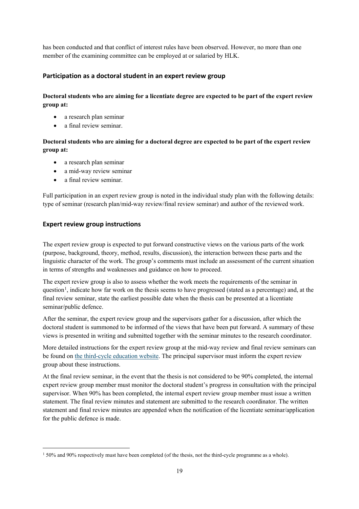has been conducted and that conflict of interest rules have been observed. However, no more than one member of the examining committee can be employed at or salaried by HLK.

### <span id="page-22-0"></span>**Participation as a doctoral student in an expert review group**

### **Doctoral students who are aiming for a licentiate degree are expected to be part of the expert review group at:**

- a research plan seminar
- a final review seminar.

### **Doctoral students who are aiming for a doctoral degree are expected to be part of the expert review group at:**

- a research plan seminar
- a mid-way review seminar
- a final review seminar.

Full participation in an expert review group is noted in the individual study plan with the following details: type of seminar (research plan/mid-way review/final review seminar) and author of the reviewed work.

### <span id="page-22-1"></span>**Expert review group instructions**

The expert review group is expected to put forward constructive views on the various parts of the work (purpose, background, theory, method, results, discussion), the interaction between these parts and the linguistic character of the work. The group's comments must include an assessment of the current situation in terms of strengths and weaknesses and guidance on how to proceed.

The expert review group is also to assess whether the work meets the requirements of the seminar in question<sup>[1](#page-22-2)</sup>, indicate how far work on the thesis seems to have progressed (stated as a percentage) and, at the final review seminar, state the earliest possible date when the thesis can be presented at a licentiate seminar/public defence.

After the seminar, the expert review group and the supervisors gather for a discussion, after which the doctoral student is summoned to be informed of the views that have been put forward. A summary of these views is presented in writing and submitted together with the seminar minutes to the research coordinator.

More detailed instructions for the expert review group at the mid-way review and final review seminars can be found o[n the third-cycle education website.](https://ju.se/en/research/doctoral-programmes/doctoral-programmes-at-the-school-of-education-and-communication/policy-documents-and-forms.html) The principal supervisor must inform the expert review group about these instructions.

At the final review seminar, in the event that the thesis is not considered to be 90% completed, the internal expert review group member must monitor the doctoral student's progress in consultation with the principal supervisor. When 90% has been completed, the internal expert review group member must issue a written statement. The final review minutes and statement are submitted to the research coordinator. The written statement and final review minutes are appended when the notification of the licentiate seminar/application for the public defence is made.

<span id="page-22-2"></span><sup>1</sup> 50% and 90% respectively must have been completed (of the thesis, not the third-cycle programme as a whole).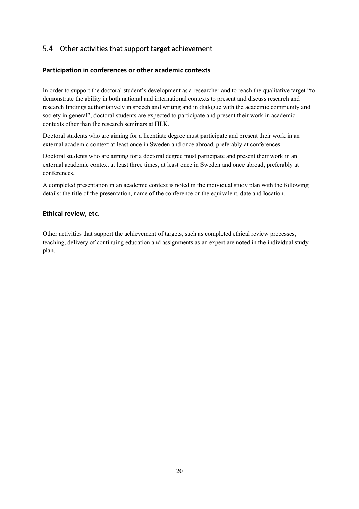### <span id="page-23-0"></span>5.4 Other activities that support target achievement

### <span id="page-23-1"></span>**Participation in conferences or other academic contexts**

In order to support the doctoral student's development as a researcher and to reach the qualitative target "to demonstrate the ability in both national and international contexts to present and discuss research and research findings authoritatively in speech and writing and in dialogue with the academic community and society in general", doctoral students are expected to participate and present their work in academic contexts other than the research seminars at HLK.

Doctoral students who are aiming for a licentiate degree must participate and present their work in an external academic context at least once in Sweden and once abroad, preferably at conferences.

Doctoral students who are aiming for a doctoral degree must participate and present their work in an external academic context at least three times, at least once in Sweden and once abroad, preferably at conferences.

A completed presentation in an academic context is noted in the individual study plan with the following details: the title of the presentation, name of the conference or the equivalent, date and location.

### <span id="page-23-2"></span>**Ethical review, etc.**

Other activities that support the achievement of targets, such as completed ethical review processes, teaching, delivery of continuing education and assignments as an expert are noted in the individual study plan.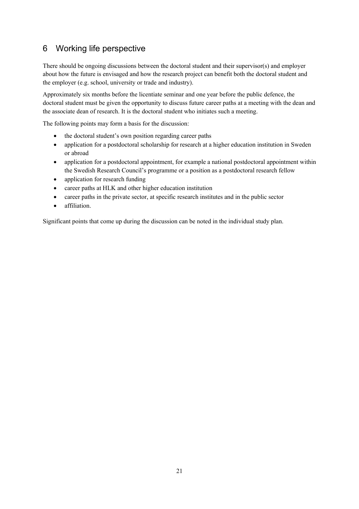## <span id="page-24-0"></span>6 Working life perspective

There should be ongoing discussions between the doctoral student and their supervisor(s) and employer about how the future is envisaged and how the research project can benefit both the doctoral student and the employer (e.g. school, university or trade and industry).

Approximately six months before the licentiate seminar and one year before the public defence, the doctoral student must be given the opportunity to discuss future career paths at a meeting with the dean and the associate dean of research. It is the doctoral student who initiates such a meeting.

The following points may form a basis for the discussion:

- the doctoral student's own position regarding career paths
- application for a postdoctoral scholarship for research at a higher education institution in Sweden or abroad
- application for a postdoctoral appointment, for example a national postdoctoral appointment within the Swedish Research Council's programme or a position as a postdoctoral research fellow
- application for research funding
- career paths at HLK and other higher education institution
- career paths in the private sector, at specific research institutes and in the public sector
- affiliation.

Significant points that come up during the discussion can be noted in the individual study plan.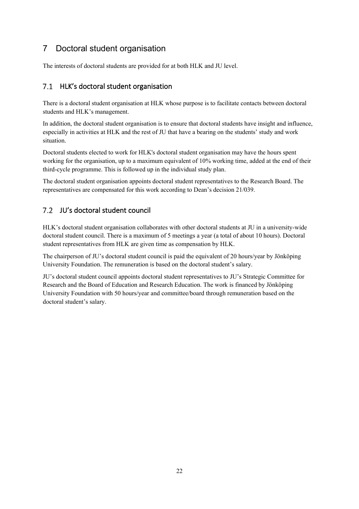## <span id="page-25-0"></span>7 Doctoral student organisation

<span id="page-25-1"></span>The interests of doctoral students are provided for at both HLK and JU level.

### 7.1 HLK's doctoral student organisation

There is a doctoral student organisation at HLK whose purpose is to facilitate contacts between doctoral students and HLK's management.

In addition, the doctoral student organisation is to ensure that doctoral students have insight and influence, especially in activities at HLK and the rest of JU that have a bearing on the students' study and work situation.

Doctoral students elected to work for HLK's doctoral student organisation may have the hours spent working for the organisation, up to a maximum equivalent of 10% working time, added at the end of their third-cycle programme. This is followed up in the individual study plan.

The doctoral student organisation appoints doctoral student representatives to the Research Board. The representatives are compensated for this work according to Dean's decision 21/039.

### <span id="page-25-2"></span>7.2 JU's doctoral student council

HLK's doctoral student organisation collaborates with other doctoral students at JU in a university-wide doctoral student council. There is a maximum of 5 meetings a year (a total of about 10 hours). Doctoral student representatives from HLK are given time as compensation by HLK.

The chairperson of JU's doctoral student council is paid the equivalent of 20 hours/year by Jönköping University Foundation. The remuneration is based on the doctoral student's salary.

JU's doctoral student council appoints doctoral student representatives to JU's Strategic Committee for Research and the Board of Education and Research Education. The work is financed by Jönköping University Foundation with 50 hours/year and committee/board through remuneration based on the doctoral student's salary.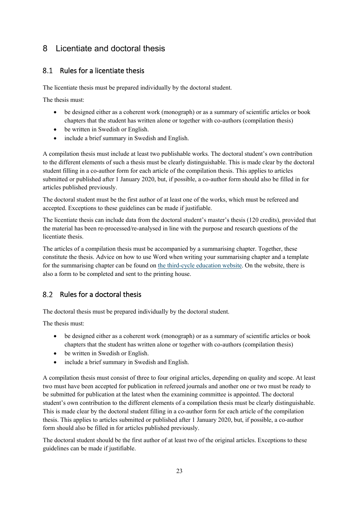## <span id="page-26-0"></span>8 Licentiate and doctoral thesis

### <span id="page-26-1"></span>8.1 Rules for a licentiate thesis

The licentiate thesis must be prepared individually by the doctoral student.

The thesis must:

- be designed either as a coherent work (monograph) or as a summary of scientific articles or book chapters that the student has written alone or together with co-authors (compilation thesis)
- be written in Swedish or English.
- include a brief summary in Swedish and English.

A compilation thesis must include at least two publishable works. The doctoral student's own contribution to the different elements of such a thesis must be clearly distinguishable. This is made clear by the doctoral student filling in a co-author form for each article of the compilation thesis. This applies to articles submitted or published after 1 January 2020, but, if possible, a co-author form should also be filled in for articles published previously.

The doctoral student must be the first author of at least one of the works, which must be refereed and accepted. Exceptions to these guidelines can be made if justifiable.

The licentiate thesis can include data from the doctoral student's master's thesis (120 credits), provided that the material has been re-processed/re-analysed in line with the purpose and research questions of the licentiate thesis.

The articles of a compilation thesis must be accompanied by a summarising chapter. Together, these constitute the thesis. Advice on how to use Word when writing your summarising chapter and a template for the summarising chapter can be found o[n the third-cycle education website.](https://ju.se/en/research/doctoral-programmes/doctoral-programmes-at-the-school-of-education-and-communication/policy-documents-and-forms.html) On the website, there is also a form to be completed and sent to the printing house.

### <span id="page-26-2"></span>8.2 Rules for a doctoral thesis

The doctoral thesis must be prepared individually by the doctoral student.

The thesis must:

- be designed either as a coherent work (monograph) or as a summary of scientific articles or book chapters that the student has written alone or together with co-authors (compilation thesis)
- be written in Swedish or English.
- include a brief summary in Swedish and English.

A compilation thesis must consist of three to four original articles, depending on quality and scope. At least two must have been accepted for publication in refereed journals and another one or two must be ready to be submitted for publication at the latest when the examining committee is appointed. The doctoral student's own contribution to the different elements of a compilation thesis must be clearly distinguishable. This is made clear by the doctoral student filling in a co-author form for each article of the compilation thesis. This applies to articles submitted or published after 1 January 2020, but, if possible, a co-author form should also be filled in for articles published previously.

The doctoral student should be the first author of at least two of the original articles. Exceptions to these guidelines can be made if justifiable.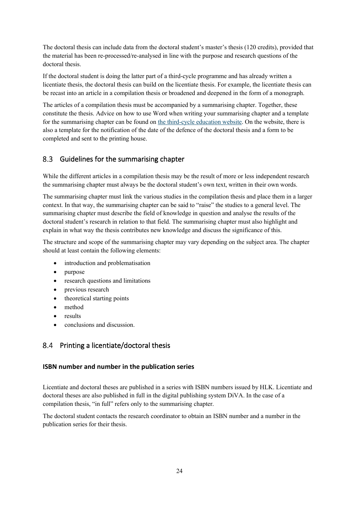The doctoral thesis can include data from the doctoral student's master's thesis (120 credits), provided that the material has been re-processed/re-analysed in line with the purpose and research questions of the doctoral thesis.

If the doctoral student is doing the latter part of a third-cycle programme and has already written a licentiate thesis, the doctoral thesis can build on the licentiate thesis. For example, the licentiate thesis can be recast into an article in a compilation thesis or broadened and deepened in the form of a monograph.

The articles of a compilation thesis must be accompanied by a summarising chapter. Together, these constitute the thesis. Advice on how to use Word when writing your summarising chapter and a template for the summarising chapter can be found o[n the third-cycle education website.](https://ju.se/en/research/doctoral-programmes/doctoral-programmes-at-the-school-of-education-and-communication/policy-documents-and-forms.html) On the website, there is also a template for the notification of the date of the defence of the doctoral thesis and a form to be completed and sent to the printing house.

#### <span id="page-27-0"></span> $8.3$ Guidelines for the summarising chapter

While the different articles in a compilation thesis may be the result of more or less independent research the summarising chapter must always be the doctoral student's own text, written in their own words.

The summarising chapter must link the various studies in the compilation thesis and place them in a larger context. In that way, the summarising chapter can be said to "raise" the studies to a general level. The summarising chapter must describe the field of knowledge in question and analyse the results of the doctoral student's research in relation to that field. The summarising chapter must also highlight and explain in what way the thesis contributes new knowledge and discuss the significance of this.

The structure and scope of the summarising chapter may vary depending on the subject area. The chapter should at least contain the following elements:

- introduction and problematisation
- purpose
- research questions and limitations
- previous research
- theoretical starting points
- method
- results
- conclusions and discussion.

### <span id="page-27-1"></span>8.4 Printing a licentiate/doctoral thesis

### <span id="page-27-2"></span>**ISBN number and number in the publication series**

Licentiate and doctoral theses are published in a series with ISBN numbers issued by HLK. Licentiate and doctoral theses are also published in full in the digital publishing system DiVA. In the case of a compilation thesis, "in full" refers only to the summarising chapter.

The doctoral student contacts the research coordinator to obtain an ISBN number and a number in the publication series for their thesis.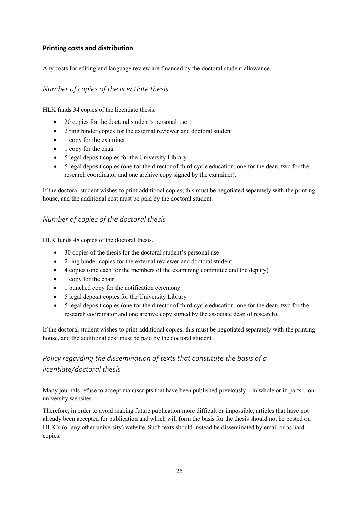### <span id="page-28-0"></span>**Printing costs and distribution**

Any costs for editing and language review are financed by the doctoral student allowance.

### *Number of copies of the licentiate thesis*

HLK funds 34 copies of the licentiate thesis.

- 20 copies for the doctoral student's personal use
- 2 ring binder copies for the external reviewer and doctoral student
- 1 copy for the examiner
- 1 copy for the chair
- 5 legal deposit copies for the University Library
- 5 legal deposit copies (one for the director of third-cycle education, one for the dean, two for the research coordinator and one archive copy signed by the examiner).

If the doctoral student wishes to print additional copies, this must be negotiated separately with the printing house, and the additional cost must be paid by the doctoral student.

### *Number of copies of the doctoral thesis*

HLK funds 48 copies of the doctoral thesis.

- 30 copies of the thesis for the doctoral student's personal use
- 2 ring binder copies for the external reviewer and doctoral student
- 4 copies (one each for the members of the examining committee and the deputy)
- 1 copy for the chair
- 1 punched copy for the notification ceremony
- 5 legal deposit copies for the University Library
- 5 legal deposit copies (one for the director of third-cycle education, one for the dean, two for the research coordinator and one archive copy signed by the associate dean of research).

If the doctoral student wishes to print additional copies, this must be negotiated separately with the printing house, and the additional cost must be paid by the doctoral student.

## *Policy regarding the dissemination of texts that constitute the basis of a licentiate/doctoral thesis*

Many journals refuse to accept manuscripts that have been published previously – in whole or in parts – on university websites.

Therefore, in order to avoid making future publication more difficult or impossible, articles that have not already been accepted for publication and which will form the basis for the thesis should not be posted on HLK's (or any other university) website. Such texts should instead be disseminated by email or as hard copies.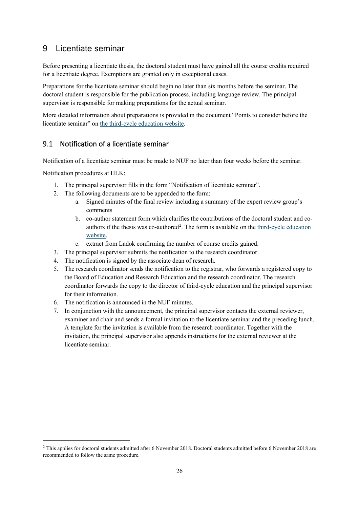### <span id="page-29-0"></span>9 Licentiate seminar

Before presenting a licentiate thesis, the doctoral student must have gained all the course credits required for a licentiate degree. Exemptions are granted only in exceptional cases.

Preparations for the licentiate seminar should begin no later than six months before the seminar. The doctoral student is responsible for the publication process, including language review. The principal supervisor is responsible for making preparations for the actual seminar.

More detailed information about preparations is provided in the document "Points to consider before the licentiate seminar" o[n the third-cycle education website.](https://ju.se/en/research/doctoral-programmes/doctoral-programmes-at-the-school-of-education-and-communication/policy-documents-and-forms.html)

### <span id="page-29-1"></span>9.1 Notification of a licentiate seminar

Notification of a licentiate seminar must be made to NUF no later than four weeks before the seminar.

Notification procedures at HLK:

- 1. The principal supervisor fills in the form "Notification of licentiate seminar".
- 2. The following documents are to be appended to the form:
	- a. Signed minutes of the final review including a summary of the expert review group's comments
	- b. co-author statement form which clarifies the contributions of the doctoral student and coauthors if the thesis was co-authored<sup>2</sup>. The form is available on the third-cycle education [website.](https://ju.se/en/research/doctoral-programmes/doctoral-programmes-at-the-school-of-education-and-communication/policy-documents-and-forms.html)
	- c. extract from Ladok confirming the number of course credits gained.
- 3. The principal supervisor submits the notification to the research coordinator.
- 4. The notification is signed by the associate dean of research.
- 5. The research coordinator sends the notification to the registrar, who forwards a registered copy to the Board of Education and Research Education and the research coordinator. The research coordinator forwards the copy to the director of third-cycle education and the principal supervisor for their information.
- 6. The notification is announced in the NUF minutes.
- 7. In conjunction with the announcement, the principal supervisor contacts the external reviewer, examiner and chair and sends a formal invitation to the licentiate seminar and the preceding lunch. A template for the invitation is available from the research coordinator. Together with the invitation, the principal supervisor also appends instructions for the external reviewer at the licentiate seminar.

<span id="page-29-2"></span><sup>&</sup>lt;sup>2</sup> This applies for doctoral students admitted after 6 November 2018. Doctoral students admitted before 6 November 2018 are recommended to follow the same procedure.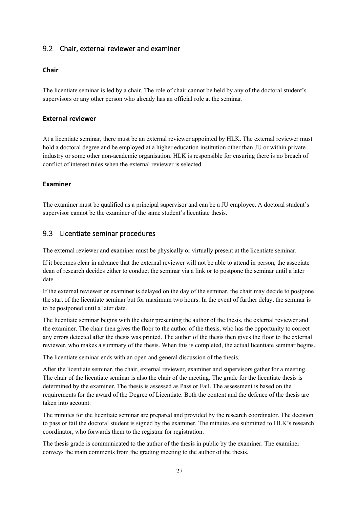### <span id="page-30-0"></span>9.2 Chair, external reviewer and examiner

### <span id="page-30-1"></span>**Chair**

The licentiate seminar is led by a chair. The role of chair cannot be held by any of the doctoral student's supervisors or any other person who already has an official role at the seminar.

### <span id="page-30-2"></span>**External reviewer**

At a licentiate seminar, there must be an external reviewer appointed by HLK. The external reviewer must hold a doctoral degree and be employed at a higher education institution other than JU or within private industry or some other non-academic organisation. HLK is responsible for ensuring there is no breach of conflict of interest rules when the external reviewer is selected.

### <span id="page-30-3"></span>**Examiner**

The examiner must be qualified as a principal supervisor and can be a JU employee. A doctoral student's supervisor cannot be the examiner of the same student's licentiate thesis.

### <span id="page-30-4"></span>9.3 Licentiate seminar procedures

The external reviewer and examiner must be physically or virtually present at the licentiate seminar.

If it becomes clear in advance that the external reviewer will not be able to attend in person, the associate dean of research decides either to conduct the seminar via a link or to postpone the seminar until a later date.

If the external reviewer or examiner is delayed on the day of the seminar, the chair may decide to postpone the start of the licentiate seminar but for maximum two hours. In the event of further delay, the seminar is to be postponed until a later date.

The licentiate seminar begins with the chair presenting the author of the thesis, the external reviewer and the examiner. The chair then gives the floor to the author of the thesis, who has the opportunity to correct any errors detected after the thesis was printed. The author of the thesis then gives the floor to the external reviewer, who makes a summary of the thesis. When this is completed, the actual licentiate seminar begins.

The licentiate seminar ends with an open and general discussion of the thesis.

After the licentiate seminar, the chair, external reviewer, examiner and supervisors gather for a meeting. The chair of the licentiate seminar is also the chair of the meeting. The grade for the licentiate thesis is determined by the examiner. The thesis is assessed as Pass or Fail. The assessment is based on the requirements for the award of the Degree of Licentiate. Both the content and the defence of the thesis are taken into account.

The minutes for the licentiate seminar are prepared and provided by the research coordinator. The decision to pass or fail the doctoral student is signed by the examiner. The minutes are submitted to HLK's research coordinator, who forwards them to the registrar for registration.

The thesis grade is communicated to the author of the thesis in public by the examiner. The examiner conveys the main comments from the grading meeting to the author of the thesis.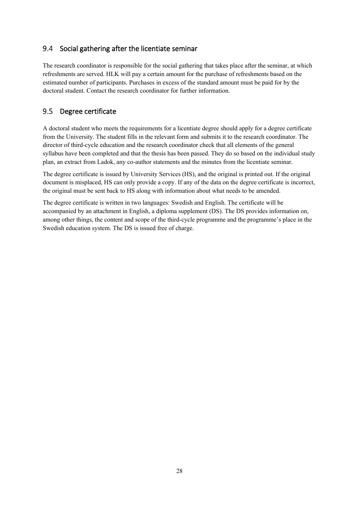#### <span id="page-31-0"></span> $9.4$ Social gathering after the licentiate seminar

The research coordinator is responsible for the social gathering that takes place after the seminar, at which refreshments are served. HLK will pay a certain amount for the purchase of refreshments based on the estimated number of participants. Purchases in excess of the standard amount must be paid for by the doctoral student. Contact the research coordinator for further information.

#### <span id="page-31-1"></span>9.5 Degree certificate

A doctoral student who meets the requirements for a licentiate degree should apply for a degree certificate from the University. The student fills in the relevant form and submits it to the research coordinator. The director of third-cycle education and the research coordinator check that all elements of the general syllabus have been completed and that the thesis has been passed. They do so based on the individual study plan, an extract from Ladok, any co-author statements and the minutes from the licentiate seminar.

The degree certificate is issued by University Services (HS), and the original is printed out. If the original document is misplaced, HS can only provide a copy. If any of the data on the degree certificate is incorrect, the original must be sent back to HS along with information about what needs to be amended.

The degree certificate is written in two languages: Swedish and English. The certificate will be accompanied by an attachment in English, a diploma supplement (DS). The DS provides information on, among other things, the content and scope of the third-cycle programme and the programme's place in the Swedish education system. The DS is issued free of charge.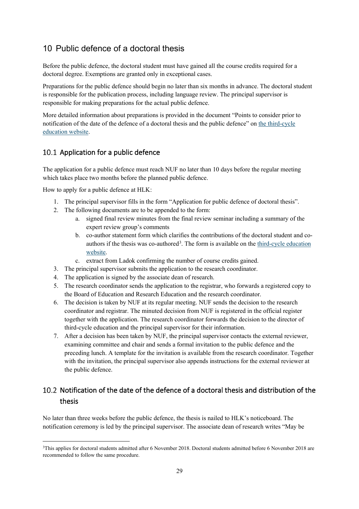### <span id="page-32-0"></span>10 Public defence of a doctoral thesis

Before the public defence, the doctoral student must have gained all the course credits required for a doctoral degree. Exemptions are granted only in exceptional cases.

Preparations for the public defence should begin no later than six months in advance. The doctoral student is responsible for the publication process, including language review. The principal supervisor is responsible for making preparations for the actual public defence.

More detailed information about preparations is provided in the document "Points to consider prior to notification of the date of the defence of a doctoral thesis and the public defence" on [the third-cycle](https://ju.se/en/research/doctoral-programmes/doctoral-programmes-at-the-school-of-education-and-communication/policy-documents-and-forms.html)  [education website.](https://ju.se/en/research/doctoral-programmes/doctoral-programmes-at-the-school-of-education-and-communication/policy-documents-and-forms.html)

### <span id="page-32-1"></span>10.1 Application for a public defence

The application for a public defence must reach NUF no later than 10 days before the regular meeting which takes place two months before the planned public defence.

How to apply for a public defence at HLK:

- 1. The principal supervisor fills in the form "Application for public defence of doctoral thesis".
- 2. The following documents are to be appended to the form:
	- a. signed final review minutes from the final review seminar including a summary of the expert review group's comments
	- b. co-author statement form which clarifies the contributions of the doctoral student and coauthors if the thesis was co-authored<sup>3</sup>. The form is available on the third-cycle education [website.](https://ju.se/en/research/doctoral-programmes/doctoral-programmes-at-the-school-of-education-and-communication/policy-documents-and-forms.html)
	- c. extract from Ladok confirming the number of course credits gained.
- 3. The principal supervisor submits the application to the research coordinator.
- 4. The application is signed by the associate dean of research.
- 5. The research coordinator sends the application to the registrar, who forwards a registered copy to the Board of Education and Research Education and the research coordinator.
- 6. The decision is taken by NUF at its regular meeting. NUF sends the decision to the research coordinator and registrar. The minuted decision from NUF is registered in the official register together with the application. The research coordinator forwards the decision to the director of third-cycle education and the principal supervisor for their information.
- 7. After a decision has been taken by NUF, the principal supervisor contacts the external reviewer, examining committee and chair and sends a formal invitation to the public defence and the preceding lunch. A template for the invitation is available from the research coordinator. Together with the invitation, the principal supervisor also appends instructions for the external reviewer at the public defence.

### <span id="page-32-2"></span>10.2 Notification of the date of the defence of a doctoral thesis and distribution of the thesis

No later than three weeks before the public defence, the thesis is nailed to HLK's noticeboard. The notification ceremony is led by the principal supervisor. The associate dean of research writes "May be

<span id="page-32-3"></span><sup>3</sup>This applies for doctoral students admitted after 6 November 2018. Doctoral students admitted before 6 November 2018 are recommended to follow the same procedure.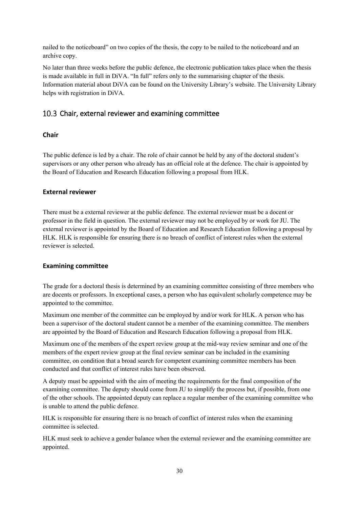nailed to the noticeboard" on two copies of the thesis, the copy to be nailed to the noticeboard and an archive copy.

No later than three weeks before the public defence, the electronic publication takes place when the thesis is made available in full in DiVA. "In full" refers only to the summarising chapter of the thesis. Information material about DiVA can be found on the University Library's website. The University Library helps with registration in DiVA.

### <span id="page-33-0"></span>10.3 Chair, external reviewer and examining committee

### <span id="page-33-1"></span>**Chair**

The public defence is led by a chair. The role of chair cannot be held by any of the doctoral student's supervisors or any other person who already has an official role at the defence. The chair is appointed by the Board of Education and Research Education following a proposal from HLK.

### <span id="page-33-2"></span>**External reviewer**

There must be a external reviewer at the public defence. The external reviewer must be a docent or professor in the field in question. The external reviewer may not be employed by or work for JU. The external reviewer is appointed by the Board of Education and Research Education following a proposal by HLK. HLK is responsible for ensuring there is no breach of conflict of interest rules when the external reviewer is selected.

#### <span id="page-33-3"></span>**Examining committee**

The grade for a doctoral thesis is determined by an examining committee consisting of three members who are docents or professors. In exceptional cases, a person who has equivalent scholarly competence may be appointed to the committee.

Maximum one member of the committee can be employed by and/or work for HLK. A person who has been a supervisor of the doctoral student cannot be a member of the examining committee. The members are appointed by the Board of Education and Research Education following a proposal from HLK.

Maximum one of the members of the expert review group at the mid-way review seminar and one of the members of the expert review group at the final review seminar can be included in the examining committee, on condition that a broad search for competent examining committee members has been conducted and that conflict of interest rules have been observed.

A deputy must be appointed with the aim of meeting the requirements for the final composition of the examining committee. The deputy should come from JU to simplify the process but, if possible, from one of the other schools. The appointed deputy can replace a regular member of the examining committee who is unable to attend the public defence.

HLK is responsible for ensuring there is no breach of conflict of interest rules when the examining committee is selected.

HLK must seek to achieve a gender balance when the external reviewer and the examining committee are appointed.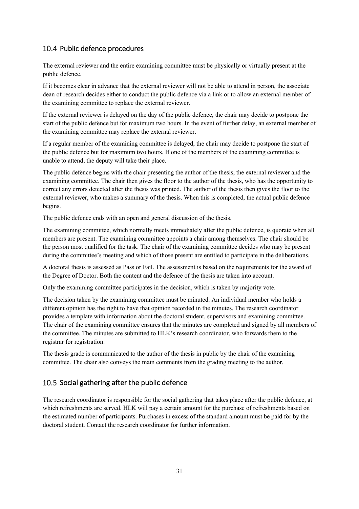### <span id="page-34-0"></span>10.4 Public defence procedures

The external reviewer and the entire examining committee must be physically or virtually present at the public defence.

If it becomes clear in advance that the external reviewer will not be able to attend in person, the associate dean of research decides either to conduct the public defence via a link or to allow an external member of the examining committee to replace the external reviewer.

If the external reviewer is delayed on the day of the public defence, the chair may decide to postpone the start of the public defence but for maximum two hours. In the event of further delay, an external member of the examining committee may replace the external reviewer.

If a regular member of the examining committee is delayed, the chair may decide to postpone the start of the public defence but for maximum two hours. If one of the members of the examining committee is unable to attend, the deputy will take their place.

The public defence begins with the chair presenting the author of the thesis, the external reviewer and the examining committee. The chair then gives the floor to the author of the thesis, who has the opportunity to correct any errors detected after the thesis was printed. The author of the thesis then gives the floor to the external reviewer, who makes a summary of the thesis. When this is completed, the actual public defence begins.

The public defence ends with an open and general discussion of the thesis.

The examining committee, which normally meets immediately after the public defence, is quorate when all members are present. The examining committee appoints a chair among themselves. The chair should be the person most qualified for the task. The chair of the examining committee decides who may be present during the committee's meeting and which of those present are entitled to participate in the deliberations.

A doctoral thesis is assessed as Pass or Fail. The assessment is based on the requirements for the award of the Degree of Doctor. Both the content and the defence of the thesis are taken into account.

Only the examining committee participates in the decision, which is taken by majority vote.

The decision taken by the examining committee must be minuted. An individual member who holds a different opinion has the right to have that opinion recorded in the minutes. The research coordinator provides a template with information about the doctoral student, supervisors and examining committee. The chair of the examining committee ensures that the minutes are completed and signed by all members of the committee. The minutes are submitted to HLK's research coordinator, who forwards them to the registrar for registration.

The thesis grade is communicated to the author of the thesis in public by the chair of the examining committee. The chair also conveys the main comments from the grading meeting to the author.

### <span id="page-34-1"></span>10.5 Social gathering after the public defence

The research coordinator is responsible for the social gathering that takes place after the public defence, at which refreshments are served. HLK will pay a certain amount for the purchase of refreshments based on the estimated number of participants. Purchases in excess of the standard amount must be paid for by the doctoral student. Contact the research coordinator for further information.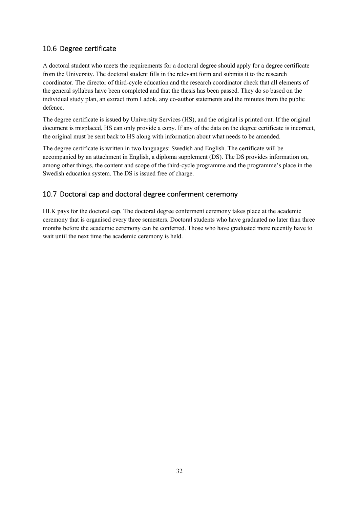### <span id="page-35-0"></span>10.6 Degree certificate

A doctoral student who meets the requirements for a doctoral degree should apply for a degree certificate from the University. The doctoral student fills in the relevant form and submits it to the research coordinator. The director of third-cycle education and the research coordinator check that all elements of the general syllabus have been completed and that the thesis has been passed. They do so based on the individual study plan, an extract from Ladok, any co-author statements and the minutes from the public defence.

The degree certificate is issued by University Services (HS), and the original is printed out. If the original document is misplaced, HS can only provide a copy. If any of the data on the degree certificate is incorrect, the original must be sent back to HS along with information about what needs to be amended.

The degree certificate is written in two languages: Swedish and English. The certificate will be accompanied by an attachment in English, a diploma supplement (DS). The DS provides information on, among other things, the content and scope of the third-cycle programme and the programme's place in the Swedish education system. The DS is issued free of charge.

### <span id="page-35-1"></span>10.7 Doctoral cap and doctoral degree conferment ceremony

HLK pays for the doctoral cap. The doctoral degree conferment ceremony takes place at the academic ceremony that is organised every three semesters. Doctoral students who have graduated no later than three months before the academic ceremony can be conferred. Those who have graduated more recently have to wait until the next time the academic ceremony is held.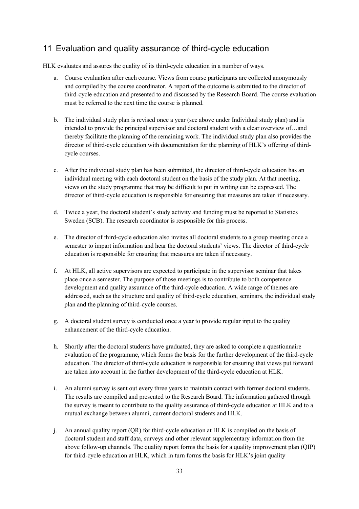### <span id="page-36-0"></span>11 Evaluation and quality assurance of third-cycle education

HLK evaluates and assures the quality of its third-cycle education in a number of ways.

- a. Course evaluation after each course. Views from course participants are collected anonymously and compiled by the course coordinator. A report of the outcome is submitted to the director of third-cycle education and presented to and discussed by the Research Board. The course evaluation must be referred to the next time the course is planned.
- b. The individual study plan is revised once a year (see above under Individual study plan) and is intended to provide the principal supervisor and doctoral student with a clear overview of…and thereby facilitate the planning of the remaining work. The individual study plan also provides the director of third-cycle education with documentation for the planning of HLK's offering of thirdcycle courses.
- c. After the individual study plan has been submitted, the director of third-cycle education has an individual meeting with each doctoral student on the basis of the study plan. At that meeting, views on the study programme that may be difficult to put in writing can be expressed. The director of third-cycle education is responsible for ensuring that measures are taken if necessary.
- d. Twice a year, the doctoral student's study activity and funding must be reported to Statistics Sweden (SCB). The research coordinator is responsible for this process.
- e. The director of third-cycle education also invites all doctoral students to a group meeting once a semester to impart information and hear the doctoral students' views. The director of third-cycle education is responsible for ensuring that measures are taken if necessary.
- f. At HLK, all active supervisors are expected to participate in the supervisor seminar that takes place once a semester. The purpose of those meetings is to contribute to both competence development and quality assurance of the third-cycle education. A wide range of themes are addressed, such as the structure and quality of third-cycle education, seminars, the individual study plan and the planning of third-cycle courses.
- g. A doctoral student survey is conducted once a year to provide regular input to the quality enhancement of the third-cycle education.
- h. Shortly after the doctoral students have graduated, they are asked to complete a questionnaire evaluation of the programme, which forms the basis for the further development of the third-cycle education. The director of third-cycle education is responsible for ensuring that views put forward are taken into account in the further development of the third-cycle education at HLK.
- i. An alumni survey is sent out every three years to maintain contact with former doctoral students. The results are compiled and presented to the Research Board. The information gathered through the survey is meant to contribute to the quality assurance of third-cycle education at HLK and to a mutual exchange between alumni, current doctoral students and HLK.
- j. An annual quality report (QR) for third-cycle education at HLK is compiled on the basis of doctoral student and staff data, surveys and other relevant supplementary information from the above follow-up channels. The quality report forms the basis for a quality improvement plan (QIP) for third-cycle education at HLK, which in turn forms the basis for HLK's joint quality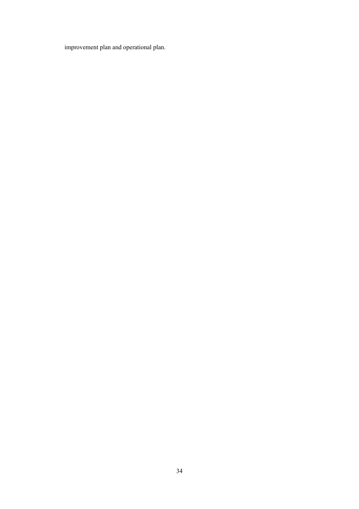improvement plan and operational plan.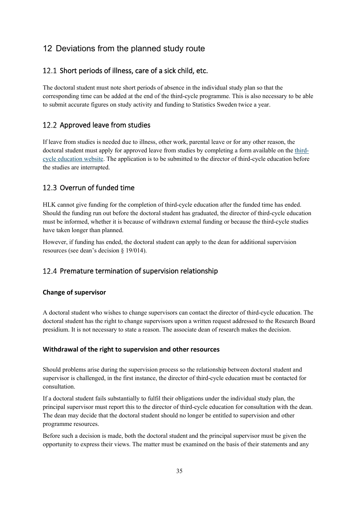## <span id="page-38-0"></span>12 Deviations from the planned study route

### <span id="page-38-1"></span>12.1 Short periods of illness, care of a sick child, etc.

The doctoral student must note short periods of absence in the individual study plan so that the corresponding time can be added at the end of the third-cycle programme. This is also necessary to be able to submit accurate figures on study activity and funding to Statistics Sweden twice a year.

### <span id="page-38-2"></span>12.2 Approved leave from studies

If leave from studies is needed due to illness, other work, parental leave or for any other reason, the doctoral student must apply for approved leave from studies by completing a form available on the [third](https://ju.se/en/research/doctoral-programmes/doctoral-programmes-at-the-school-of-education-and-communication/policy-documents-and-forms.html)[cycle education website.](https://ju.se/en/research/doctoral-programmes/doctoral-programmes-at-the-school-of-education-and-communication/policy-documents-and-forms.html) The application is to be submitted to the director of third-cycle education before the studies are interrupted.

### <span id="page-38-3"></span>12.3 Overrun of funded time

HLK cannot give funding for the completion of third-cycle education after the funded time has ended. Should the funding run out before the doctoral student has graduated, the director of third-cycle education must be informed, whether it is because of withdrawn external funding or because the third-cycle studies have taken longer than planned.

However, if funding has ended, the doctoral student can apply to the dean for additional supervision resources (see dean's decision § 19/014).

### <span id="page-38-4"></span>12.4 Premature termination of supervision relationship

### <span id="page-38-5"></span>**Change of supervisor**

A doctoral student who wishes to change supervisors can contact the director of third-cycle education. The doctoral student has the right to change supervisors upon a written request addressed to the Research Board presidium. It is not necessary to state a reason. The associate dean of research makes the decision.

### <span id="page-38-6"></span>**Withdrawal of the right to supervision and other resources**

Should problems arise during the supervision process so the relationship between doctoral student and supervisor is challenged, in the first instance, the director of third-cycle education must be contacted for consultation.

If a doctoral student fails substantially to fulfil their obligations under the individual study plan, the principal supervisor must report this to the director of third-cycle education for consultation with the dean. The dean may decide that the doctoral student should no longer be entitled to supervision and other programme resources.

Before such a decision is made, both the doctoral student and the principal supervisor must be given the opportunity to express their views. The matter must be examined on the basis of their statements and any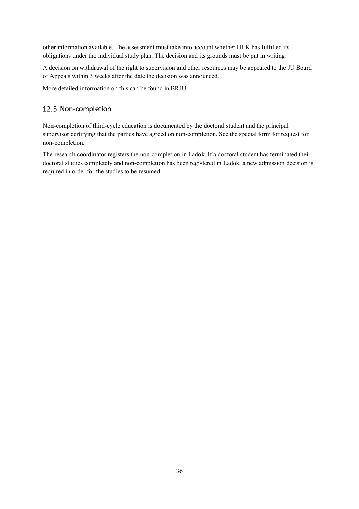other information available. The assessment must take into account whether HLK has fulfilled its obligations under the individual study plan. The decision and its grounds must be put in writing.

A decision on withdrawal of the right to supervision and other resources may be appealed to the JU Board of Appeals within 3 weeks after the date the decision was announced.

<span id="page-39-0"></span>More detailed information on this can be found in BRJU.

### 12.5 Non-completion

Non-completion of third-cycle education is documented by the doctoral student and the principal supervisor certifying that the parties have agreed on non-completion. See the special form for request for non-completion.

The research coordinator registers the non-completion in Ladok. If a doctoral student has terminated their doctoral studies completely and non-completion has been registered in Ladok, a new admission decision is required in order for the studies to be resumed.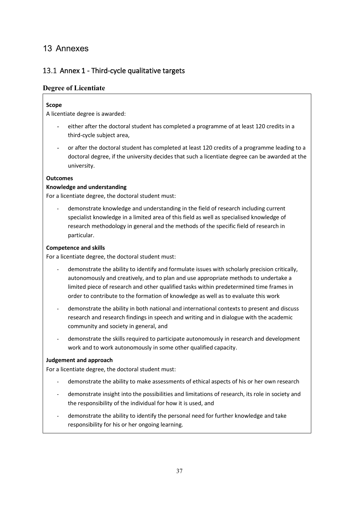### <span id="page-40-0"></span>13 Annexes

### <span id="page-40-1"></span>13.1 Annex 1 - Third-cycle qualitative targets

### **Degree of Licentiate**

### **Scope**

A licentiate degree is awarded:

- either after the doctoral student has completed a programme of at least 120 credits in a third-cycle subject area,
- or after the doctoral student has completed at least 120 credits of a programme leading to a doctoral degree, if the university decides that such a licentiate degree can be awarded at the university.

#### **Outcomes**

#### **Knowledge and understanding**

For a licentiate degree, the doctoral student must:

demonstrate knowledge and understanding in the field of research including current specialist knowledge in a limited area of this field as well as specialised knowledge of research methodology in general and the methods of the specific field of research in particular.

#### **Competence and skills**

For a licentiate degree, the doctoral student must:

- demonstrate the ability to identify and formulate issues with scholarly precision critically, autonomously and creatively, and to plan and use appropriate methods to undertake a limited piece of research and other qualified tasks within predetermined time frames in order to contribute to the formation of knowledge as well as to evaluate this work
- demonstrate the ability in both national and international contexts to present and discuss research and research findings in speech and writing and in dialogue with the academic community and society in general, and
- demonstrate the skills required to participate autonomously in research and development work and to work autonomously in some other qualified capacity.

#### **Judgement and approach**

For a licentiate degree, the doctoral student must:

- demonstrate the ability to make assessments of ethical aspects of his or her own research
- demonstrate insight into the possibilities and limitations of research, its role in society and the responsibility of the individual for how it is used, and
- demonstrate the ability to identify the personal need for further knowledge and take responsibility for his or her ongoing learning.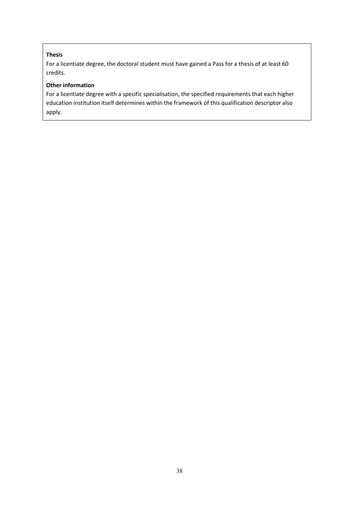### **Thesis**

For a licentiate degree, the doctoral student must have gained a Pass for a thesis of at least 60 credits.

### **Other information**

For a licentiate degree with a specific specialisation, the specified requirements that each higher education institution itself determines within the framework of this qualification descriptor also apply.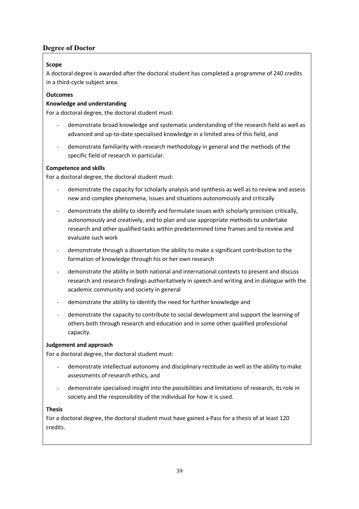### **Degree of Doctor**

### **Scope**

A doctoral degree is awarded after the doctoral student has completed a programme of 240 credits in a third-cycle subject area.

### **Outcomes**

### **Knowledge and understanding**

For a doctoral degree, the doctoral student must:

- demonstrate broad knowledge and systematic understanding of the research field as well as advanced and up-to-date specialised knowledge in a limited area of this field, and
- demonstrate familiarity with research methodology in general and the methods of the specific field of research in particular.

### **Competence and skills**

For a doctoral degree, the doctoral student must:

- demonstrate the capacity for scholarly analysis and synthesis as well as to review and assess new and complex phenomena, issues and situations autonomously and critically
- demonstrate the ability to identify and formulate issues with scholarly precision critically, autonomously and creatively, and to plan and use appropriate methods to undertake research and other qualified tasks within predetermined time frames and to review and evaluate such work
- demonstrate through a dissertation the ability to make a significant contribution to the formation of knowledge through his or her own research
- demonstrate the ability in both national and international contexts to present and discuss research and research findings authoritatively in speech and writing and in dialogue with the academic community and society in general
- demonstrate the ability to identify the need for further knowledge and
- demonstrate the capacity to contribute to social development and support the learning of others both through research and education and in some other qualified professional capacity.

#### **Judgement and approach**

For a doctoral degree, the doctoral student must:

- demonstrate intellectual autonomy and disciplinary rectitude as well as the ability to make assessments of research ethics, and
- demonstrate specialised insight into the possibilities and limitations of research, its role in society and the responsibility of the individual for how it is used.

#### **Thesis**

For a doctoral degree, the doctoral student must have gained a Pass for a thesis of at least 120 credits.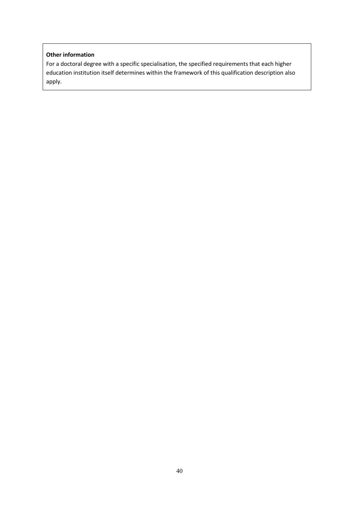#### **Other information**

For a doctoral degree with a specific specialisation, the specified requirements that each higher education institution itself determines within the framework of this qualification description also apply.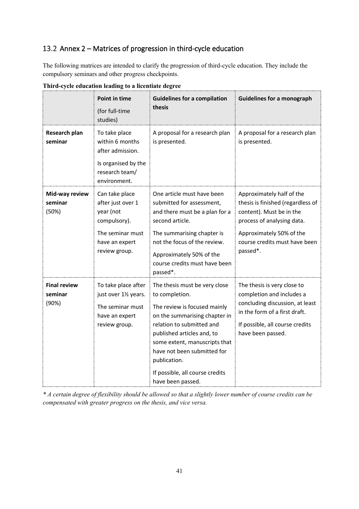### <span id="page-44-0"></span>13.2 Annex 2 – Matrices of progression in third-cycle education

The following matrices are intended to clarify the progression of third-cycle education. They include the compulsory seminars and other progress checkpoints.

|                                         | <b>Point in time</b><br>(for full-time<br>studies)                                                                      | <b>Guidelines for a compilation</b><br>thesis                                                                                                                                                                                                                                                                       | <b>Guidelines for a monograph</b>                                                                                                                                                                 |
|-----------------------------------------|-------------------------------------------------------------------------------------------------------------------------|---------------------------------------------------------------------------------------------------------------------------------------------------------------------------------------------------------------------------------------------------------------------------------------------------------------------|---------------------------------------------------------------------------------------------------------------------------------------------------------------------------------------------------|
| <b>Research plan</b><br>seminar         | To take place<br>within 6 months<br>after admission.<br>Is organised by the<br>research team/<br>environment.           | A proposal for a research plan<br>is presented.                                                                                                                                                                                                                                                                     | A proposal for a research plan<br>is presented.                                                                                                                                                   |
| Mid-way review<br>seminar<br>(50%)      | Can take place<br>after just over 1<br>year (not<br>compulsory).<br>The seminar must<br>have an expert<br>review group. | One article must have been<br>submitted for assessment,<br>and there must be a plan for a<br>second article.<br>The summarising chapter is<br>not the focus of the review.<br>Approximately 50% of the<br>course credits must have been<br>passed*.                                                                 | Approximately half of the<br>thesis is finished (regardless of<br>content). Must be in the<br>process of analysing data.<br>Approximately 50% of the<br>course credits must have been<br>passed*. |
| <b>Final review</b><br>seminar<br>(90%) | To take place after<br>just over 11/2 years.<br>The seminar must<br>have an expert<br>review group.                     | The thesis must be very close<br>to completion.<br>The review is focused mainly<br>on the summarising chapter in<br>relation to submitted and<br>published articles and, to<br>some extent, manuscripts that<br>have not been submitted for<br>publication.<br>If possible, all course credits<br>have been passed. | The thesis is very close to<br>completion and includes a<br>concluding discussion, at least<br>in the form of a first draft.<br>If possible, all course credits<br>have been passed.              |

**Third-cycle education leading to a licentiate degree**

*\* A certain degree of flexibility should be allowed so that a slightly lower number of course credits can be compensated with greater progress on the thesis, and vice versa.*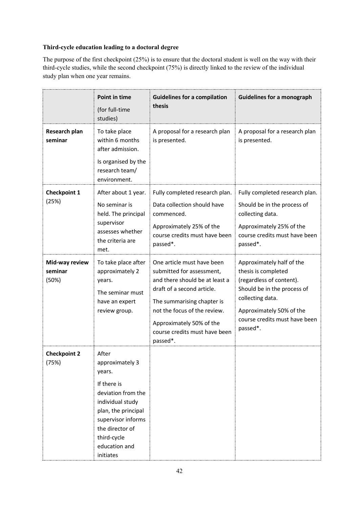### **Third-cycle education leading to a doctoral degree**

The purpose of the first checkpoint (25%) is to ensure that the doctoral student is well on the way with their third-cycle studies, while the second checkpoint (75%) is directly linked to the review of the individual study plan when one year remains.

|                                    | <b>Point in time</b><br>(for full-time<br>studies)                                                                                                                                                       | <b>Guidelines for a compilation</b><br>thesis                                                                                                                                                                                                                  | <b>Guidelines for a monograph</b>                                                                                                                                                                        |
|------------------------------------|----------------------------------------------------------------------------------------------------------------------------------------------------------------------------------------------------------|----------------------------------------------------------------------------------------------------------------------------------------------------------------------------------------------------------------------------------------------------------------|----------------------------------------------------------------------------------------------------------------------------------------------------------------------------------------------------------|
| Research plan<br>seminar           | To take place<br>within 6 months<br>after admission.<br>Is organised by the<br>research team/<br>environment.                                                                                            | A proposal for a research plan<br>is presented.                                                                                                                                                                                                                | A proposal for a research plan<br>is presented.                                                                                                                                                          |
| <b>Checkpoint 1</b><br>(25%)       | After about 1 year.<br>No seminar is<br>held. The principal<br>supervisor<br>assesses whether<br>the criteria are<br>met.                                                                                | Fully completed research plan.<br>Data collection should have<br>commenced.<br>Approximately 25% of the<br>course credits must have been<br>passed <sup>*</sup> .                                                                                              | Fully completed research plan.<br>Should be in the process of<br>collecting data.<br>Approximately 25% of the<br>course credits must have been<br>passed <sup>*</sup> .                                  |
| Mid-way review<br>seminar<br>(50%) | To take place after<br>approximately 2<br>years.<br>The seminar must<br>have an expert<br>review group.                                                                                                  | One article must have been<br>submitted for assessment,<br>and there should be at least a<br>draft of a second article.<br>The summarising chapter is<br>not the focus of the review.<br>Approximately 50% of the<br>course credits must have been<br>passed*. | Approximately half of the<br>thesis is completed<br>(regardless of content).<br>Should be in the process of<br>collecting data.<br>Approximately 50% of the<br>course credits must have been<br>passed*. |
| <b>Checkpoint 2</b><br>(75%)       | After<br>approximately 3<br>years.<br>If there is<br>deviation from the<br>individual study<br>plan, the principal<br>supervisor informs<br>the director of<br>third-cycle<br>education and<br>initiates |                                                                                                                                                                                                                                                                |                                                                                                                                                                                                          |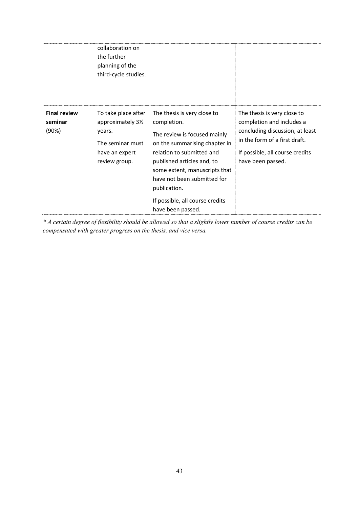|                                         | collaboration on<br>the further<br>planning of the<br>third-cycle studies.                                 |                                                                                                                                                                                                                                                                                                                |                                                                                                                                                                                      |
|-----------------------------------------|------------------------------------------------------------------------------------------------------------|----------------------------------------------------------------------------------------------------------------------------------------------------------------------------------------------------------------------------------------------------------------------------------------------------------------|--------------------------------------------------------------------------------------------------------------------------------------------------------------------------------------|
| <b>Final review</b><br>seminar<br>(90%) | To take place after<br>approximately 31/2<br>years.<br>The seminar must<br>have an expert<br>review group. | The thesis is very close to<br>completion.<br>The review is focused mainly<br>on the summarising chapter in<br>relation to submitted and<br>published articles and, to<br>some extent, manuscripts that<br>have not been submitted for<br>publication.<br>If possible, all course credits<br>have been passed. | The thesis is very close to<br>completion and includes a<br>concluding discussion, at least<br>in the form of a first draft.<br>If possible, all course credits<br>have been passed. |

*\* A certain degree of flexibility should be allowed so that a slightly lower number of course credits can be compensated with greater progress on the thesis, and vice versa.*